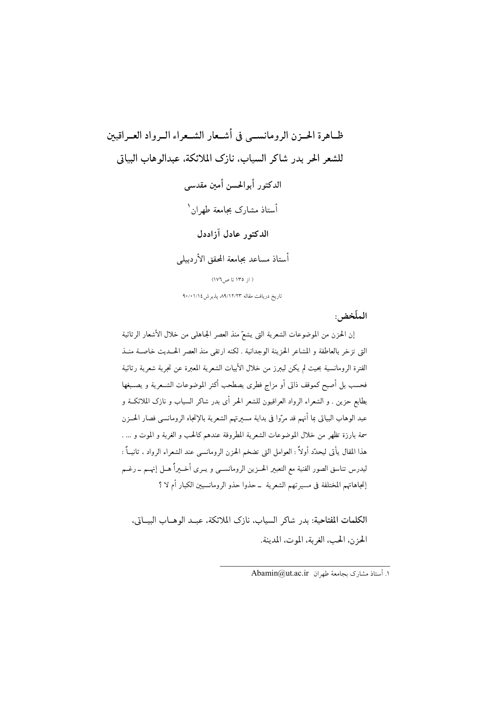ظـاهرة الحــزن الرومانســي في أشــعار الشــعراء الــرواد العــراقيين للشعر الحر بدر شاكر السياب، نازك الملائكة، عبدالوهاب البياتي الدكتور أبوالحسن أمىن مقدسى أستاذ مشارك بجامعة طهران` الدكته, عادل آزاددل أستاذ مساعد بجامعة المحقق الأردبيلي ( از ١٣٥ تا ص ١٧٦) تاریخ دریافت مقاله ۸۹/۱۲/۲۳ پذیرش ۹۰/۰۱/۱۶

الملّخض:

إن الحزن من الموضوعات الشعرية التي يشعّ منذ العصر الجاهلي من خلال الأشعار الرثائية التي تزخر بالعاطفة و المشاعر الحزينة الوجدانية . لكنه ارتقى منذ العصر الحــديث خاصــة منــذ الفترة الرومانسية بحيث لم يكن ليبرز من خلال الأبيات الشعرية المعبرة عن تجربة شعرية رثائية فحسب بل أصبح كموقف ذاتي أو مزاج فطرى يصطحب أكثر الموضوعات الشــعرية و يصــبغها .<br>بطابع حزين . و الشعراء الرواد العراقيون للشعر الحر أي بدر شاكر السياب و نازك الملائكــة و عبد الوهاب البياتي بما أنهم قد مرّوا في بداية مسيرتهم الشعرية بالإتجاه الرومانسي فصار الحــزن سمة بارزة تظهر من خلال الموضوعات الشعرية المطروقة عندهم كالحب و الغربة و الموت و … . هذا المقال يأتى ليحدِّد أولاً : العوامل التي تضخم الحزن الرومانسي عند الشعراء الرواد ، ثانيــاً : ليدرس تناسق الصور الفنية مع التعبير الحــزين الرومانســي و يــري أخــيراً هــل إنهــم ـــ رغــم إتجاهاتهم المختلفة فى مسيرتهم الشعرية ـ حذوا حذو الرومانسيين الكبار أم لا ؟

الكلمات المفتاحية: بدر شاكر السياب، نازك الملائكة، عبد الوهـاب البيـاتي، الحزن، الحب، الغربة، الموت، المدينة.

١. أستاذ مشارك يجامعة طهران Abamin@ut.ac.ir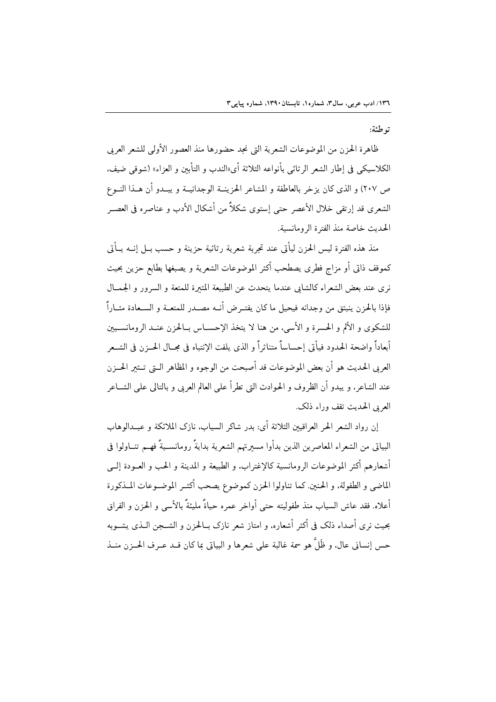ته طئة:

ظاهرة الحزن من الموضوعات الشعرية التي نجد حضورها منذ العصور الأولى للشعر العربي الكلاسيكي في إطار الشعر الرثائي بأنواعه الثلاثة أي«الندب و التأبين و العزاء» (شوقي ضيف، ص ٢٠٧) و الذي كان يزخر بالعاطفة و المشاعر الحزينــة الوجدانيــة و يبــدو أن هــذا النــوع الشعرى قد إرتقى خلال الأعصر حتى إستوى شكلاً من أشكال الأدب و عناصره في العصـر الحديث خاصة منذ الفترة الرومانسية.

منذ هذه الفترة ليس الحزن ليأتي عند تحربة شعرية رثائية حزينة و حسب بــل إنــه يــأتي كموقف ذاتي أو مزاج فطرى يصطحب أكثر الموضوعات الشعرية و يصبغها بطابع حزين بحيث نري عند بعض الشعراء كالشابي عندما يتحدث عن الطبيعة المثبرة للمتعة و السرور و الجمــال فإذا بالحزن ينبثق من وجدانه فيحيل ما كان يفتـرض أنــه مصــدر للمتعــة و الســعادة مثــاراً للشكوى و الألم و الحسرة و الأسى، من هنا لا يتخذ الإحســاس بــالحزن عنــد الرومانســيين أبعاداً واضحة الحدود فيأتي إحساساً متناثراً و الذي يلفت الإنتباه في مجــال الحــزن في الشــعر العربي الحديث هو أن بعض الموضوعات قد أصبحت من الوجوه و المظاهر الـتي تــثير الحــزن عند الشاعر، و يبدو أن الظروف و الحوادث التي تطرأ على العالم العربي و بالتالي على الشــاعر العربي الحديث تقف وراء ذلك.

إن رواد الشعر الحر العراقيين الثلاثة أي: بدر شاكر السياب، نازك الملائكة و عبــدالوهاب البياتي من الشعراء المعاصرين الذين بدأوا مسيرتهم الشعرية بدايةً رومانســيةً فهــم تنــاولوا في أشعارهم أكثر الموضوعات الرومانسية كالإغتراب، و الطبيعة و المدينة و الحب و العــودة إلــي الماضي و الطفولة، و الحنين. كما تناولوا الحزن كموضوع يصحب أكثـر الموضــوعات المــذكورة أعلاه. فقد عاش السياب منذ طفوليته حتى أواخر عمره حياةً مليئةً بالأسبي و الحزن و الفراق بحيث نرى أصداء ذلك في أكثر أشعاره، و امتاز شعر نازك بــالحزن و الشـــجن الــذي يشــوبه حس إنساني عالٍ، و ظَلَّ هو سمة غالبة على شعرها و البياتي بما كان قــد عــرف الحـــزن منــذ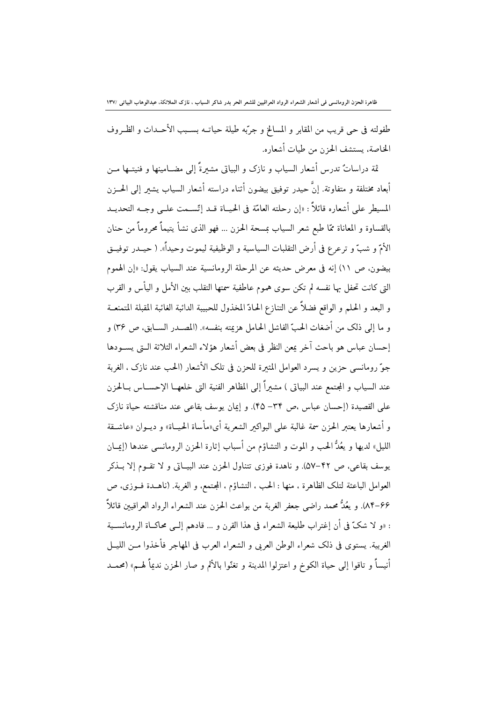طفولته في حي قريب من المقابر و المسالخ و جرَّبه طيلة حياتـه بســبب الأحــداث و الظـروف الخاصة، يستشف الحزن من طيات أشعاره.

ثمة دراساتٌ تدرس أشعار السياب و نازک و البياتي مشیرةً إلى مضــامينها و فنيتــها مــن أبعاد مختلفة و متفاوتة. إنَّ حيدر توفيق بيضون أثناء دراسته أشعار السياب يشعر إلى الحــزن المسيطر على أشعاره قائلاً : «إن رحلته العامّة في الحيــاة قــد إتّســمت علــي وجــه التحديــد بالقساوة و المعاناة ممّا طبع شعر السياب بمسحة الحزن … فهو الذي نشأ يتيماً محروماً من حنان الأمّ و شبّ و ترعرع في أرض التقلبات السياسية و الوظيفية ليموت وحيداً». ( حيــدر توفيــق بيضون، ص ١١) إنه في معرض حديثه عن المرحلة الرومانسية عند السياب يقول: «إن الهموم التي كانت تحفل بها نفسه لم تكن سوى هموم عاطفية سمتها التقلب بين الأمل و اليأس و القرب و البعد و الحلم و الواقع فضلاً عن التنازع الحادّ المخذول للحبيبة الدائبة الغائبة المقبلة المتمنعــة و ما إلى ذلك من أضغاث الحبّ الفاشل الحامل هزيمته بنفسه». (المصــدر الســابق، ص ٣۶) و إحسان عباس هو باحث آخر يمعن النظر في بعض أشعار هؤلاء الشعراء الثلاثة الــتى يســودها جوّ رومانسي حزين و يسرد العوامل المثيرة للحزن في تلك الأشعار (الحب عند نازك ، الغربة عند السياب و المجتمع عند البياتي ) مشيراً إلى المظاهر الفنية التي خلعهــا الإحســاس بــالحزن على القصيدة (إحسان عباس ،ص ٣٣– ۴۵). و إيمان يوسف بقاعي عند مناقشته حياة نازك و أشعارها يعتبر الحزن سمة غالبة على البواكير الشعرية أي«مأساة الحيــاة» و ديــوان «عاشــقة الليل» لديها و يعُدُّ الحب و الموت و التشاؤم من أسباب إثارة الحزن الرومانسي عندها (إيمــان يوسف بقاعي، ص ۴۲-۵۷). و ناهدة فوزي تتناول الحزن عند البيــاتي و لا تقــوم إلا بــذكر العوامل الباعثة لتلك الظاهرة ، منها : الحب ، التشاؤم ، المجتمع، و الغربة. (ناهــدة فــوزي، ص 66–٨۴). و يعُدُّ محمد راضي جعفر الغربة من بواعث الحزن عند الشعراء الرواد العراقيين قائلاً : «و لا شكَّ في أن إغتراب طليعة الشعراء في هذا القرن و … قادهم إلـَّي محاكــاة الرومانســية الغربية. يستوى في ذلك شعراء الوطن العربي و الشعراء العرب في المهاجر فأخذوا مــن الليــل أنيساً و تاقوا إلى حياة الكوخ و اعتزلوا المدينة و تغنّوا بالألم و صار الحزن نديماً لهـم» (محمــد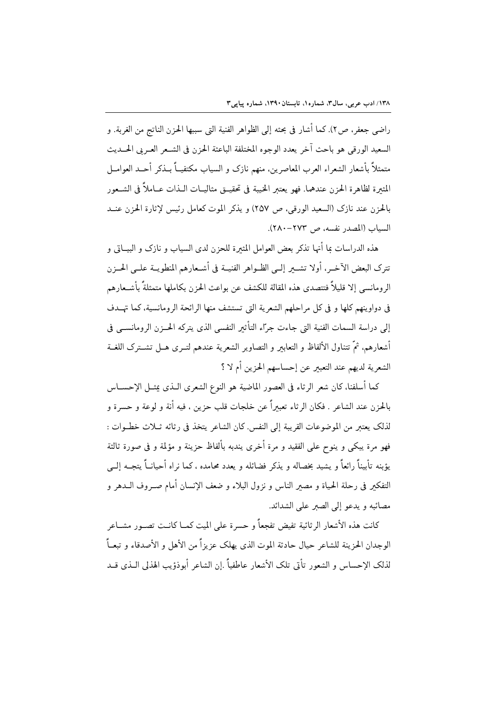راضه حعفه ، ص٢). كما أشار في بحثه إلى الظواهر الفنية التي سببها الحزن الناتج من الغربة. و السعيد الورقي هو باحث آخر يعدد الوجوه المختلفة الباعثة الحزن في الشـعر العـربي الحــديث متمثلاً بأشعار الشعراء العرب المعاصرين، منهم نازك و السياب مكتفيــاً بــذكر أحــد العوامــل المثيرة لظاهرة الجزن عندهما. فهو يعتبر الخيبة في تحقيــق مثاليــات الــذات عــاملاً في الشــعور بالحزن عند نازك (السعيد الورقي، ص ٢٥٧) و يذكر الموت كعامل رئيس لإثارة الحزن عنــد السياب (المصدر نفسه، ص ٢٧٣-٢٨٠).

هذه الدراسات عا أنها تذكر بعض العوامل المثبرة للحزن لدى السياب و نازك و البيــاتي و تترك البعض الآخـر، أولا تشــير إلــي الظــواهر الفنيــة في أشــعارهم المنطويــة علــي الحــزن الرومانسي إلا قليلاً فتتصدى هذه المقالة للكشف عن بواعث الحزن بكاملها متمثلةً بأشـعارهم في دواوينهم كلها و في كل مراحلهم الشعرية التي تستشف منها الرائحة الرومانسية، كما تهـدف إلى دراسة السمات الفنية التي جاءت جرّاء التأثير النفسي الذي يتركه الحــزن الرومانســي في أشعارهم. ثمَّ تتناول الألفاظ و التعابىر و التصاوير الشعرية عندهم لتــرى هــل تشــترك اللغــة الشعرية لديهم عند التعبير عن إحساسهم الحزين أم لا ؟

كما أسلفنا، كان شعر الرثاء في العصور الماضية هو النوع الشعرى الـذي يمثــل الإحســاس بالحزن عند الشاعر . فكان الرثاء تعبيراً عن خلجات قلب حزين ، فيه أنة و لوعة و حسرة و لذلك يعتبر من الموضوعات القريبة إلى النفس. كان الشاعر يتخذ في رثائه ثــلاث خطــوات : فهو مرة يبكي و ينوح على الفقيد و مرة أخرى يندبه بألفاظ حزينة و مؤلمة و في صورة ثالثة يؤبنه تأبيناً رائعاً و يشيد بخصاله و يذكر فضائله و يعدد محامده ، كما نراه أحيانـــاً يتجــه إلـــى التفكير في رحلة الحياة و مصبر الناس و نزول البلاء و ضعف الإنسان أمام صـروف الــدهر و مصائبه و يدعو إلى الصبر على الشدائد.

كانت هذه الأشعار الر ثائية تفيض تفجعاً و حسرة على الميت كمــا كانــت تصــور مشــاعر الوجدان الحزينة للشاعر حيال حادثة الموت الذى يهلك عزيزاً من الأهل و الأصدقاء و تبعـاً لذلك الإحساس و الشعور تأتي تلك الأشعار عاطفياً .إن الشاعر أبوذؤيب الهذلي الــذي قــد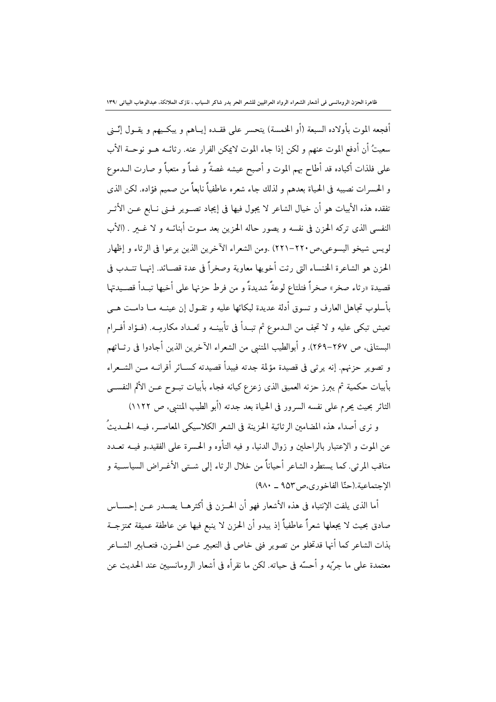أفجعه الموت بأولاده السبعة (أو الخمسة) يتحسر على فقـده إيــاهم و يبكــيهم و يقــول إنّــني سعيتُ أن أدفع الموت عنهم و لكن إذا جاء الموت لايمكن الفرار عنه. رثائــه هــو نوحــة الأب على فلذات أكباده قد أطاح بهم الموت و أصبح عيشه غصةً و غماً و متعباً و صارت الــدموع و الحسرات نصيبه في الحياة بعدهم و لذلك جاء شعره عاطفياً نابعاً من صميم فؤاده. لكن الذي تفقده هذه الأبيات هو أن خيال الشاعر لا يجول فيها في إيجاد تصـوير فــني نــابع عــن الأثــر النفسي الذي تركه الحزن في نفسه و يصور حاله الحزين بعد مــوت أبنائــه و لا غـــــر . (الأب لويس شيخو اليسوعي،ص٢٢٠-٢٢١) .ومن الشعراء الآخرين الذين برعوا في الرثاء و إظهار الحزن هو الشاعرة الخنساء التي رثت أخويها معاوية وصخراً في عدة قصـائد. إنهــا تنــدب في قصيدة «رثاء صخر» صخراً فتلتاع لوعةً شديدةً و من فرط حزنها على أخيها تبــدأ قصــيدتها بأسلوب تجاهل العارف و تسوق أدلة عديدة لبكائها عليه و تقـول إن عينــه مــا دامــت هــي تعيش تبكي عليه و لا تجف من الــدموع ثم تبــدأ في تأبينــه و تَعــداد مكارمِــه. (فــؤاد أفــرام البستاني، ص ٢۶٧-٢۶٩). و أبوالطيب المتنبي من الشعراء الآخرين الذين أجادوا في رثــاثهم و تصوير حزنهم. إنه يرثى في قصيدة مؤلمة جدته فيبدأ قصيدته كســائر أقرانــه مــن الشــعراء بأبيات حكمية ثم يبرز حزنه العميق الذي زعزع كيانه فجاء بأبيات تبــوح عــن الألم النفســي الثائر بحيث يحرم على نفسه السرور في الحياة بعد جدته (أبو الطيب المتنبي، ص ١١٢٢)

و نرى أصداء هذه المضامين الرثائية الحزينة في الشعر الكلاسيكي المعاصـر، فيــه الحـــديثُ عن الموت و الإعتبار بالراحلين و زوال الدنيا، و فيه التأوه و الحسرة على الفقيد،و فيــه تعــدد مناقب المرثى. كما يستطرد الشاعر أحياناً من خلال الرثاء إلى شـتى الأغـراض السياسـية و الإجتماعية.(حنّا الفاخوري،ص٩٥٣ \_ ٩٨٠)

أما الذي يلفت الإنتباه في هذه الأشعار فهو أن الحــزن في أكثرهــا يصــدر عــن إحســاس صادق بحيث لا يجعلها شعراً عاطفياً إذ يبدو أن الحزن لا ينبع فيها عن عاطفة عميقة ممتزجــة بذات الشاعر كما أنها قدتخلو من تصوير فني خاص في التعبير عــن الحــزن، فتعــابير الشــاعر معتمدة على ما جرّبه و أحسّه في حياته. لكن ما نقرأه في أشعار الرومانسيين عند الحديث عن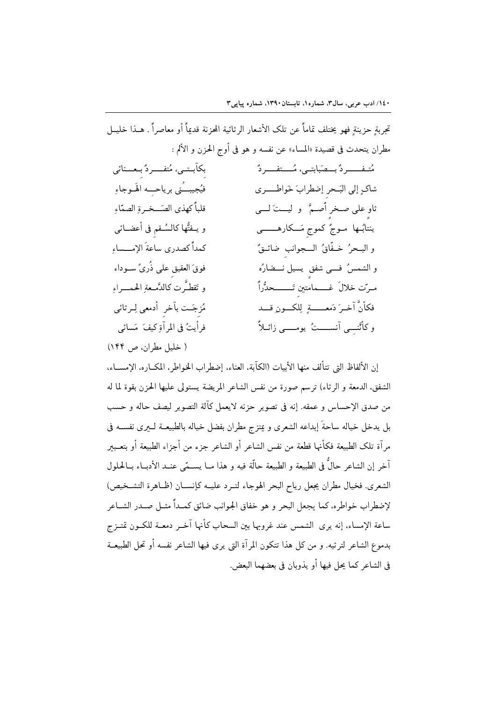تحربة حزينة فهو يختلف تماماً عن تلك الأشعار الرثائية المحزنة قدماً أو معاصراً . هـذا خليــل مطران يتحدث في قصيدة «المساء» عن نفسه و هو في أوج الحزن و الألم :

| بكآبـتـى، مُتفـــردٌ بِـعـــنائى    | مُتـفـــــردٌ بـــصَبابتــى، مُــــتفــــردٌ |
|-------------------------------------|----------------------------------------------|
| فيُجيبــُني برياحــِـه الهَــوجاءِ  | شاك إلى البَحرِ إضطرابَ خَواطــــرى          |
| قلبأ كهذى الصّــخـرةِ الصمّاءِ      | ثاو على صـخرِ أصـمَّ ۖ و ليـــتَ لــــى      |
| و يــفتُّها كالسُــقم في أعضــائي   | ينتابُــها مــوجٌ كموجٍ مَـــكارهــــــــى   |
| كمدأ كصدري ساعة الإمـــساءِ         | و البـحرُ خـفَّاقُ الــجوانبِ ضائــقٌ        |
| فوقَ العقيقِ على ذُرِيَّ ســوداء    | و الشمسُ فــــى شفقٍ يسيل نـــضارُه          |
| و تَقطـَّرت كالدَّمـعةِ الحمـــراءِ | مىرّت خلالَ غــــمامتينِ تَـــــــحدُّراً    |
| مُزجَـت بأخر أدمعي لِـرثائي         | فكأنّ آخـرَ دَمعــــــةٍ لِلكـــونِ قـــد    |
| فرأيتُ في المرآةِ كيفَ مَسائي       | و کاُٽُنـِــِی آنســـــتُ یومـــــی زائــلاً |
|                                     |                                              |

( خليل مطران، ص ١۴۴)

إن الألفاظ التي تتألف منها الأبيات (الكآبة، العناء، إضطراب الخواطر، المكباره، الإمسياء، الشفق، الدمعة و الرثاء) ترسم صورة من نفس الشاعر المريضة يستولى عليها الحزن بقوة لما له من صدق الإحساس و عمقه. إنه في تصوير حزنه لايعمل كآلة التصوير ليصف حاله و حسب بل يدخل خياله ساحةَ إبداعه الشعرى و يمتزج مطران بفضل خياله بالطبيعــة لـــيرى نفســـه فى مرآة تلك الطبيعة فكأنها قطعة من نفس الشاعر أو الشاعر جزء من أجزاء الطبيعة أو بتعـبير آخر إن الشاعر حالٌ في الطبيعة و الطبيعة حالَّة فيه و هذا مــا يســمّي عنــد الأدبــاء بــالحلول الشعرى. فخيال مطران يجعل رياح البحر الهوجاء لتــرد عليــه كإنســان (ظــاهرة التشــخيص) لإضطراب خواطره، كما يجعل البحر و هو خفاق الجوانب ضائق كمـداً مثــل صــدر الشــاعر ساعة الإمساء، إنه يرى الشمس عند غروبها بين السحاب كأنها آخـر دمعــة للكــون تمتــزج بدموع الشاعر لترثيه. و من كل هذا تتكون المرآة التي يرى فيها الشاعر نفسه أو تحل الطبيعــة في الشاعر كما يجل فيها أو يذوبان في بعضهما البعض.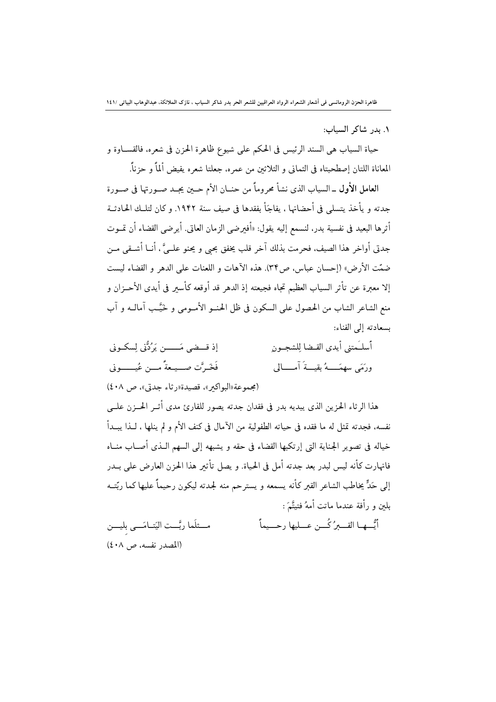١. بدر شاكر السياب:

حياة السياب هي السند الرئيس في الحكم على شيوع ظاهرة الحزن في شعره، فالقســاوة و المعاناة اللتان إصطحبتاه فى الثمانى و الثلاثين من عمره، جعلتا شعره يفيض ألماً و حزناً.

العامل الأول \_السياب الذي نشأ محروماً من حنــان الأم حــبن يجــد صــورتها في صــورة جدته و يأخذ يتسلى في أحضانها ، يفاجَأ بفقدها في صيف سنة ١٩۴٢. و كان لتلــك الحـادثــة أثرها البعيد في نفسية بدر، لنسمع إليه يقول: «أفيرضي الزمان العاتي. أيرضي القضاء أن تمــوت جدتي أواخر هذا الصيف، فحرمت بذلك آخر قلب يخفق بحيي و يحنو علــيَّ ، أنــا أشــقى مــن ضمّت الأرض» (إحسان عباس، ص٣٣). هذه الآهات و اللعنات على الدهر و القضاء ليست إلا معبرة عن تأثر السياب العظيم تجاه فجيعته إذ الدهر قد أوقعه كأسبر في أيدي الأحــزان و منع الشاعر الشاب من الحصول على السكون في ظل الحنــو الأمــومي و خَيَّــب آمالــه و آب بسعادته إلى الفناء:

إذ قبيضي مَـــــن يَرُدُّني لِسكـوني أسلـَمتني أيدي القـضا للشجـون فَخَيرٌتِ صِبْيِعةً مِين عُيسِيوني ورَمَى سهمَــهُ بِقِيَـةَ آمِــَـالِي

(مجموعة «البواكير»، قصيدة «رثاء جدتي»، ص ٤٠٨)

هذا الرثاء الحزين الذي يبديه بدر في فقدان جدته يصور للقارئ مدى أثــر الحـــزن علـــي نفسه، فجدته تمثل له ما فقده في حياته الطفولية من الآمال في كنف الأم و لم ينلها ، لــذا يبــدأ خياله في تصوير الجناية التي إرتكبها القضاء في حقه و يشبهه إلى السهم الـذي أصــاب منــاه فانهارت كأنه ليس لبدر بعد جدته أمل في الحياة. و يصل تأثیر هذا الحزن العارض على بــدر إلى حَدٍّ يخاطب الشاعر القبر كأنه يسمعه و يسترحم منه لجدته ليكون رحيماً عليها كما ربِّتــه بلين و رأفة عندما ماتت أمهُ فتيتَّمَ :

مــثلَما ربَّــت اليَتــامَـــي بليـــن أيُّسهما القسعرُ كُسن عسليها رحسيماً (المصدر نفسه، ص ٤٠٨)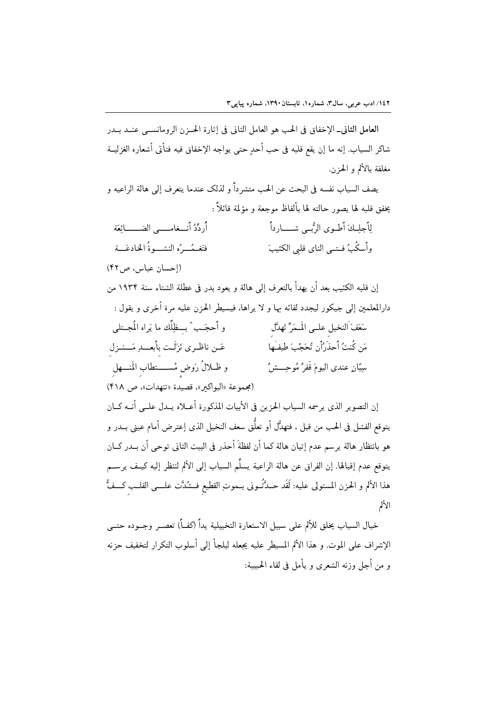العامل الثاني\_ الإخفاق في الحب هو العامل الثاني في إثارة الحــزن الرومانســي عنــد بــدر شاكر السياب. إنه ما إن يقع قلبه في حب أحدٍ حتى يواجه الإخفاق فيه فتأتى أشعاره الغزليــة مغلفة بالألم و الحزن.

يصف السياب نفسه في البحث عن الحب متشر داً و لذلك عندما يتعرف إلى هالة الراعيه و يخفق قلبه لها يصور حالته لها بألفاظ موجعة و مؤلمة قائلاً :

لِلَجلِكَ أَطوى الرُّبـي شــــارداً أُردِّدُ أنـــغامـــــ الضـــــــائعَة فتَغِيمُــرُه النشــوةُ الخادعَــة وأسكُبُ فـتــي الناي قلبي الكئيبَ

(إحسان عباس، ص ۴۲)

إن قلبه الكئيب بعد أن يهدأ بالتعرف إلى هالة و يعود بدر في عطلة الشتاء سنة ١٩٣۴ من دارالمعلمين إلى جيكور ليجدد لقائه بها و لا يراها، فيسيط الحزن عليه مرة أخرى و يقول : و أحجَـب ٛ بـــظِلِّك ما يَراه المُجــتلـى سَعَفَ اَلنخيل علـي المَـمَرِّ تَهدَّل عَـن ناظـري نَزَلَـت بأبعــدِ مَــنـزل مَن كُنتُ أَحذَرُاًن تُحَجّبَ طيفَـها و ظــلالُ رَوض مُســــتطاب المَنــــهل سيّان عندي اليومَ قَفرُ مُوحِـــش (مجموعة «البواكير»، قصيدة «تنهدات»، ص ۴۱۸)

إن التصوير الذي يرسمه السياب الحزين في الأبيات المذكورة أعــلاه يــدل علــي أنــه كــان يتوقع الفشل في الحب من قبل ، فتهدُّل أو تعلُّق سعف النخيل الذي إعترض أمام عيني بــدر و هو بانتظار هالة يرسم عدم إتيان هالة كما أن لفظةَ أحذر في البيت الثاني توحي أن بــدر كــان يتوقع عدم إقبالها. إن الفراق عن هالة الراعية يسلِّم السياب إلى الألم لننظر إليه كيـف يرســم هذا الألم و الحزن المستولى عليه: لَقَد حـدَّثُــونى بــموتِ القطيع فــشُدَّت علــــى القلــب كـــفُّ الألم

خيال السياب يخلق للألم على سبيل الاستعارة التخييلية يداً (كف)ًا تعصـر وجــوده حتــى الإشراف على الموت. و هذا الألم المسيطر عليه يجعله ليلجأ إلى أسلوب التكرار لتخفيف حزنه و من أجل وزنه الشعرى و يأمل في لقاء الحبيبة: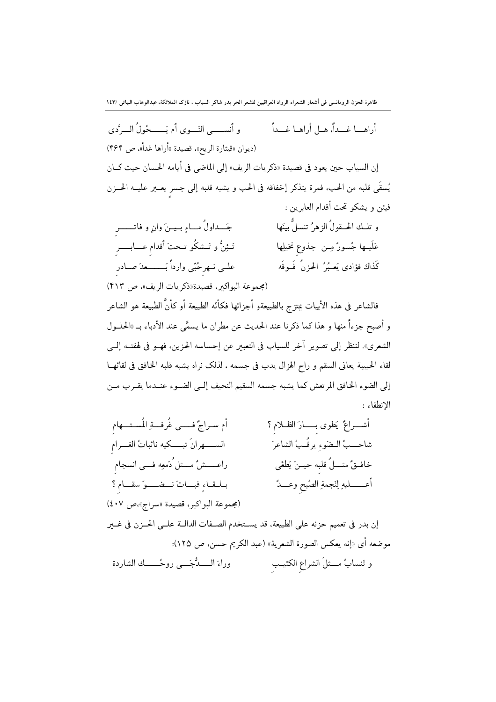و أنســـب النِّــوي أم يَـــــجُولُ الــرَّدي أراهـــا غـــداً، هــا أراهــا غـــداً (ديوان «قيثارة الريح». قصيدة «أراها غداً». ص ۴۶۴) إن السياب حين يعود في قصيدة «ذكريات الريف» إلى الماضي في أيامه الحسان حيث كــان يُسقَى قلبه من الحب، فمرة يتذكر إخفاقه في الحب و يشبه قلبه إلى جسرٍ يعــبر عليــه الحــزن فيئن و يشكو تحت أقدام العابرين : و تلــك الحــقولُ الزهرُ تنسلٌّ بينَها جَــداولُ مــاءِ بــيــنَ وانِ و فاتـــــــر تَـئِنُّ و تَــشكُو تــحتَ أقدام عــــابـــــر عَلَيــها جُسورٌ مِــن جذوع نخيلِها علـي نـهرحُبّي وارداً بَـــــــعدَ صــادر كَذاك فؤادي يَعـبُرُ الحزنُ فَـوقَه (مجموعة البواكير، قصيدة«ذكريات الريف»، ص ۴۱۳) فالشاعر فى هذه الأبيات يمتزج بالطبيعةو أجزائها فكأته الطبيعة أو كأنَّ الطبيعة هو الشاعر

و أصبح جزءاً منها و هذا كما ذكرنا عند الحديث عن مطران ما يسمَّى عند الأدباء بـ «الحلــول الشعرى». لننظر إلى تصوير آخر للسياب في التعبير عن إحساسه الحزين، فهــو في لهفتــه إلــي لقاء الحبيبة يعاني السقم و راح الهزال يدب في جسمه ، لذلك نراه يشبه قلبه الخافق في لقائهــا إلى الضوء الخافق المرتعش كما يشبه جسمه السقيم النحيف إلـى الضـوء عنــدما يقـرب مــن الانطفاء :

أم سـراجٌ فـــي غُرفــةِ المُسـتــهام أشـــراعٌ يَطوى بـــــارَ الظــلام ؟ الســــهرانَ تبــــكيه نائباتُ الغـــرام شاحـــبُ الـضَوء يرقُـبُ الشاعرَ راعـــــشٌ مـــثل ُدَمعِه فـــي انسجام خافــقٌ مثـــلٌ قلبه حيــنَ يَطْغَى بلقاءِ فباتَ نفسوَ سقام؟ أعـــــــليهِ لِنَجمةِ الصُبحِ وعـــدُّ (مجموعة البواكير، قصيدة «سراج»،ص ٤٠٧) إن بدر في تعميم حزنه على الطبيعة، قد يسـتخدم الصـفات الدالــة علــي الحــزن في غــير موضعه أي «إنه يعكس الصورة الشعرية» (عبد الكريم حسن، ص ١٢٥): و تَنسابُ مـــثلَ الشراع الكئيــب وراءَ الـــــدُّجَـــى روحُــــــك الشاردة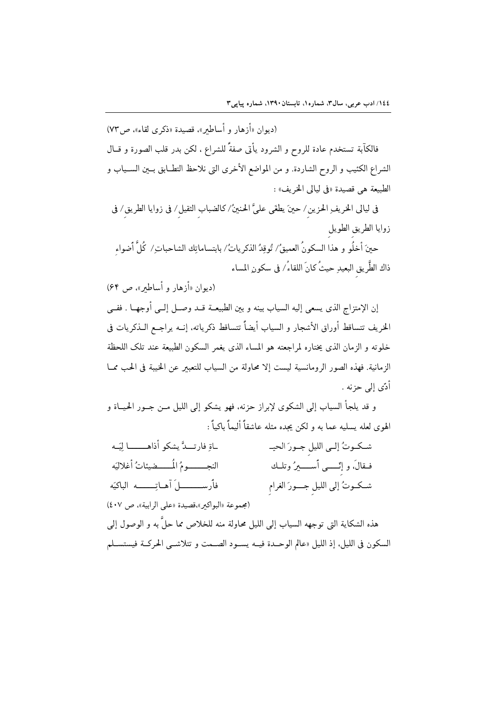(ديوان «أزهار و أساطير»، قصيدة «ذكرى لقاء»، ص ٧٣)

فالكآبة تستخدم عادة للروح و الشرود يأتى صفةً للشراع ، لكن بدر قلب الصورة و قــال الشراع الكئيب و الروح الشاردة. و من المواضع الأخرى التي نلاحظ التطــابق بــين الســياب و الطبيعة هي قصيدة «في ليالي الخريف» :

في ليالي الخريفِ الحزين/ حينَ يطغَى عليَّ الحنينُ/ كالضباب الثقيل/ في زوايا الطريق/ في زوايا الطريق الطويل

حينَ أخلُو و هذا السكونُ العميقُ/ تُوقِدُ الذكرياتُ/ بابتساماتِك الشاحباتِ/ كُلَّ أضواء ذاك الطَّريق البعيدِ حيثُ كانَ اللقاءُ/ في سكونِ المساء

(دیوان «أزهار و أساطير»، ص ۶۴)

إن الإمتزاج الذي يسعى إليه السياب بينه و بين الطبيعــة قــد وصــل إلــي أوجهــا . ففــي الخريف تتساقط أوراق الأشجار و السياب أيضاً تتساقط ذكرياته، إنــه يراجــع الــذكريات في خلوته و الزمان الذي يختاره لمراجعته هو المساء الذي يغمر السكون الطبيعة عند تلك اللحظة الزمانية. فهذه الصور الرومانسية ليست إلا محاولة من السياب للتعبير عن الخيبة في الحب ممــا أدّى إلى حزنه .

و قد يلجأ السياب إلى الشكوى لإبراز حزنه، فهو يشكو إلى الليل مـن جـور الحيــاة و الهوى لعله يسليه عما به و لكن يجده مثله عاشقاً أليماً باكياً :

| ـاةِ فارتــدَّ يشكو أذاهـــــــا لِيَــه       | شكوتُ إلى الليلِ جـورَ الحيـ             |
|------------------------------------------------|------------------------------------------|
| النجــــــومُ المُــــضيئاتُ أغلاليَه          | فـقالَ، و إِنّـــــى أســـــــيرُ وتلــك |
|                                                | شـكــوتُ إلى الليلِ جــــورَ الغرامِ     |
| (مجموعة «البواكير»،قصيدة «على الرابية»، ص ٤٠٧) |                                          |

هذه الشكاية التي توجهه السياب إلى الليل محاولة منه للخلاص مما حلَّ به و الوصول إلى السكون في الليل، إذ الليل «عالم الوحـدة فيــه يســود الصــمت و تتلاشــي الحركــة فيستســلم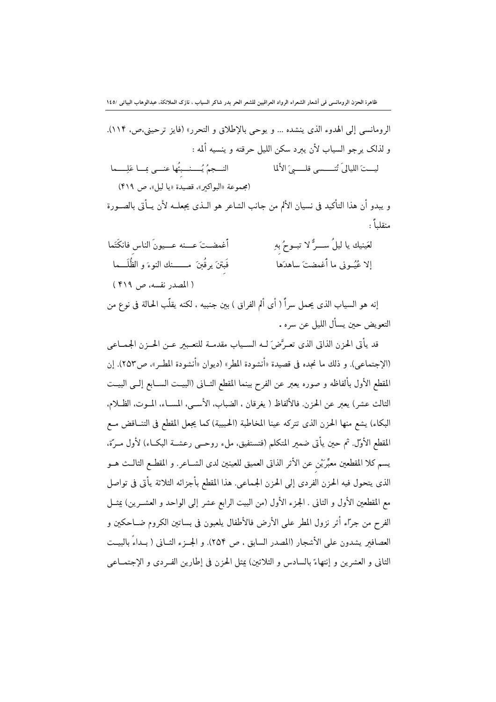الرومانسي إلى الهدوء الذي ينشده … و يوحي بالإطلاق و التحرر» (فايز ترحيني،ص، ١١۴). و لذلك يرجو السياب لأن يبرد سكن الليل حرقته و ينسيه ألمه : النسجمُ يُسسنسبِئُها عنسى بِسا عَلِسِيما ليـــتَ اللياليَ تُنــــسي قلـــــيَ الأَلما (مجموعة «البواكير»، قصيدة «يا ليل»، ص ۴۱۹) و يبدو أن هذا التأكيد في نسيان الألم من جانب الشاعر هو الــذي يجعلــه لأن يــأتى بالصــورة منقلياً : لعَينيك يا ليلُ ســـرٌّ لا تبــوحُ بهِ أغمضت عسنه عسيونَ الناس فانكَتَما فَبتنَ يرقُبنَ مــــــنك النوءَ و الظُلَـــما إلا عُيُــوني ما أُغمضتَ ساهدَها (المصدر نفسه، ص ۴۱۹)

إنه هو السياب الذي يحمل سراً ( أي ألم الفراق ) بين جنبيه ، لكنه يقلّب الحالة في نوع من التعويض حين يسأل الليل عن سره .

قد يأتي الحزن الذاتي الذي تعـرَّضَ لــه الســياب مقدمــة للتعــبير عــن الحــزن الجمــاعي (الإجتماعي). و ذلك ما نجده في قصيدة «أنشودة المطر» (ديوان «أنشودة المطـر»، ص٢٥٣). إن المقطع الأول بألفاظه و صوره يعبر عن الفرح بينما المقطع الثــانى (البيــت الســابع إلــي البيــت الثالث عشر) يعبر عن الحزن. فالألفاظ ( يغرقان ، الضباب، الأســي، المســاء، المــوت، الظــلام. البكاء) يشع منها الحزن الذي تتركه عينا المخاطبة (الحبيبة) كما يجعل المقطع في التنــاقض مــع المقطع الأوَّل. ثم حين يأتي ضمير المتكلم (فتستفيق، ملء روحــي رعشــة البكــاء) لأول مــرّة، يسم كلا المقطعين معبِّرَيْن عن الأثر الذاتى العميق للعينين لدى الشــاعر. و المقطــع الثالــث هــو الذي يتحول فيه الحزن الفردي إلى الحزن الجماعي. هذا المقطع بأجزائه الثلاثة يأتي في تواصل مع المقطعين الأول و الثاني . الجزء الأول (من البيت الرابع عشر إلى الواحد و العشــرين) بيمــل الفرح من جرًّاء أثر نزول المطر على الأرض فالأطفال يلعبون في بساتين الكروم ضــاحكين و العصافير يشدون على الأشجار (المصدر السابق ، ص ٢٥۴). و الجــزء الثــاني ( بــداءً بالبيــت الثاني و العشرين و إنتهاءً بالسادس و الثلاثين) عثل الحزن في إطارين الفيردي و الإجتمــاعي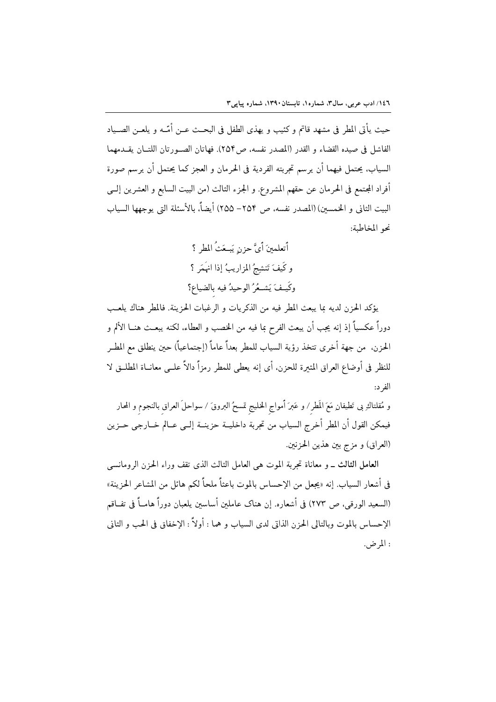حيث يأتي المطر في مشهد قاتم و كئيب و يهذي الطفل في البحـث عـن أمّـه و يلعـن الصـياد الفاشل في صيده القضاء و القدر (المصدر نفسه، ص٢٥۴). فهاتان الصـورتان اللتــان يقــدمهما السيابِ، يحتمل فيهما أن يرسم تجربته الفردية في الحرمان و العجز كما يحتمل أن يرسم صورة أفراد المجتمع في الحرمان عن حقهم المشروع. و الجزء الثالث (من البيت السابع و العشرين إلــي البيت الثاني و الخمسين) (المصدر نفسه، ص ٢٥۴– ٢٥۵) أيضاً، بالأسئلة التي يوجهها السياب نحو المخاطبة:

> أتعلمينَ أيَّ حزنٍ يَبِعَثُ المطرِ ؟ و كَيفَ تَنشِجُ المزاريبُ إذا انهَمَر ؟ وكَيـفَ يَشـعُرُ الوحيدُ فيه بالضياع؟

يؤكد الحزن لديه بما يبعث المطر فيه من الذكريات و الرغبات الحزينة. فالمطر هناك يلعب دوراً عكسياً إذ إنه يجب أن يبعث الفرح بما فيه من الخصب و العطاء، لكنه يبعــث هنــا الألم و الحزن. من جهة أخرى تتخذ رؤية السياب للمطر بعداً عاماً (إجتماعياً) حبن ينطلق مع المطـر للنظر في أوضاع العراق المثيرة للحزن، أي إنه يعطي للمطر رمزاً دالاً علــي معانــاة المطلــق لا الفر د:

و مُقلتاكِ بي تَطيفانِ مَعَ المَطر / و عَبرَ أمواج الخليج تمسحُ البروقَ / سواحلَ العراق بالنجوم و المحار فيمكن القول أن المطر أخرج السياب من تجربة داخليــة حزينــة إلــي عــالم خــارجي حــزين (العراق) و مزج بين هذين الحزنين.

العامل الثالث \_ و معاناة تجربة الموت هي العامل الثالث الذي تقف وراء الحزن الرومانسي في أشعار السياب. إنه «يجعل من الإحساس بالموت باعثاً ملحاً لكم هائل من المشاعر الحزينة» (السعيد الورقي، ص ٢٧٣) في أشعاره. إن هناك عاملين أساسين يلعبان دوراً هامــاً في تفــاقم الإحساس بالموت وبالتالي الحزن الذاتي لدى السياب و هما : أولاً : الإخفاق في الحب و الثاني : المرض.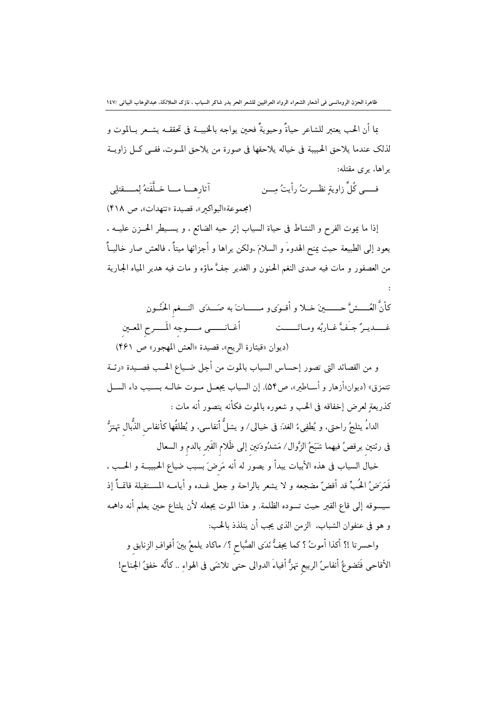ما أن الحب يعتبر للشاعر حياةً وحيويةً فحين يواجه بالخيبــة في تحققــه يشــعر بــالموت و لذلك عندما يلاحق الحبيبة في خياله يلاحقها في صورة من يلاحق المـوت، ففـي كـل زاويــة یر اها، یری مقتله:

۔<br>آثارہــــا مــــا خــلَّفَتهُ لِمـــــقتلِي فے پہ کُا ٌ زاو بة نظبے تُ رأیتُ مِبن (مجموعة «البواكير»، قصيدة «تنهدات»، ص ۴۱۸)

إذا ما يموت الفرح و النشاط في حياة السياب إثر حبه الضائع ، و يســيطر الحــزن عليــه ، يعود إلى الطبيعة حيث يمنح الهدوءَ و السلامَ ،ولكن يراها و أجزائها ميتاً ، فالعش صار خاليــاً من العصفور و مات فيه صدى النغم الحنون و الغدير جفَّ ماؤه و مات فيه هدير المياه الجارية

كأنَّ العُــــشَّ حـــــــينَ خــلا و أقــوَىو مـــــــاتَ به صَــدَى النـــغم الحَنُــون أغـانـــــي مــــوجه المَــــرح المعـين غـــديـرُ جـَفَّ غـاربُه ومـاتَــــت (ديوان «قيثارة الريح»، قصيدة «العش المهجور» ص ۴۶۱)

و من القصائد التي تصور إحساس السياب بالموت من أجل ضـياع الحــب قصـيدة «رئــة تتمزق» (ديوان«أزهار و أســاطير»، ص٥۴). إن السياب يجعــل مــوت خالــه بســبب داء الســـل كذريعةٍ لعرض إخفاقه في الحب و شعوره بالموت فكأنه يتصور أنه مات :

الداءُ يثلجُ راحتي، و يُطفِيءُ الغدَ: في خيالي/ و يشلُّ أنفاسي، و يُطلقُها كأنفاس الذُّبال تهتزُّ فى رئتين يرقصُ فيهما شَبَحُ الزَّوال/ مَشدُودَتين إلى ظَلام القَبر بالدم و السعال

خيال السياب في هذه الأبيات يبدأ و يصور له أنه مَرضَ بسبب ضياع الحبيبــة و الحــب ، فَمَرَضُ الحُبِّ قد أقضَّ مضجعه و لا يشعر بالراحة و جعل غــده و أيامــه المســتقبلة قاتمــاً إذ سيسوقه إلى قاع القبر حيث تسوده الظلمة. و هذا الموت يجعله لأن يلتاع حين يعلم أنه داهمه و هو في عنفوان الشباب، الزمن الذي يجب أن يتلذذ بالحب:

واحسرتا !؟ أكذا أموتُ ؟ كما يجفُّ نَدَى الصَّباح ؟/ ماكاد يلمعُ بينَ أفواف ِالزنابق و الأقاحي فَتَضوعُ أنفاسُ الربيع تهزُّ أفياءَ الدوالي حتى تلاشَى في الهواءِ .. كانَّه خفقُ الجناح!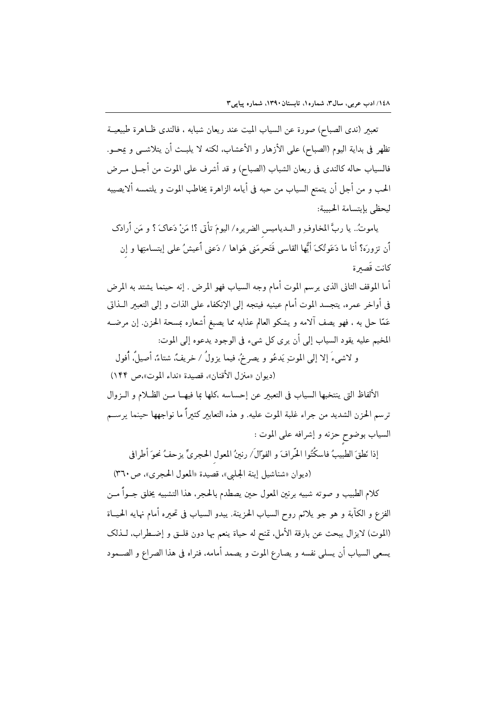تعبير (ندى الصباح) صورة عن السياب الميت عند ريعان شبابه ، فالندى ظــاهرة طبيعيــة تظهر في بداية اليوم (الصباح) على الأزهار و الأعشاب، لكنه لا يلبـث أن يتلاشــي و يمحــو. فالسياب حاله كالندي في ريعان الشباب (الصباح) و قد أشرف على الموت من أجــل مــرض الحب و من أجل أن يتمتع السياب من حبه في أيامه الزاهرة يخاطب الموت و يلتمسه ألايصيبه ليحظى بإبتسامة الحبيبة:

ياموتُ.. يا ربَّ المخاوفِ و الــدياميس الضريره/ اليومَ تأتى ؟! مَنْ دَعاکَ ؟ و مَن أَرادَک أن تزورَه؟ أنا ما دَعَوتُکَ أَيُّها القاسی فَتَحرمَنی هَواها / دَعنی أَعيشُ علی إبتسامتِها و إن كانت قَصىرة

أما الموقف الثاني الذي يرسم الموت أمام وجه السياب فهو المرض . إنه حينما يشتد به المرض في أواخر عمره، يتجسد الموت أمام عينيه فيتجه إلى الإنكفاء على الذات و إلى التعبير الــذاتي عَمَّا حلَّ به ، فهو يصف آلامه و يشكو العالم عذابه مما يصبغ أشعاره بمسحة الحزن. إن مرضــه المخيم عليه يقود السياب إلى أن يرى كل شيء في الوجود يدعوه إلى الموت:

و لاشيءَ إلا إلى الموتِ يَدعُو و يصرخُ، فيما يزولُ / خريفٌ، شتاءٌ، أصيلُ، أُفول (ديوان «منزل الأقنان»، قصيدة «نداء الموت»،ص ١۴۴)

الألفاظ التي ينتخبها السياب في التعبير عن إحساسه ،كلها بما فيهـا مـن الظـلام و الـزوال ترسم الحزن الشديد من جراء غلبة الموت عليه. و هذه التعابير كثيراً ما نواجهها حينما يرســم السياب بوضوح حزنه و إشرافه على الموت :

إذا نَطقَ الطبيبُ فاسكُتُوا الحَّرافَ و الفوّالَ/ رنينُ المعول الحجريِّ يزحفُ نحوَ أطرافي

(ديوان «شناشيل إبنة الجلبي»، قصيدة «المعول الحجري»، ص ٣٦٠)

كلام الطبيب و صوته شبيه برنين المعول حين يصطدم بالحجر، هذا التشبيه يخلق جــواً مــن الفزع و الكآبة و هو جو يلائم روح السياب الحزينة. يبدو السياب في تحيره أمام نهايه الحيــاة (الموت) لايزال يبحث عن بارقة الأمل. تمنح له حياة ينعم بها دون قلــق و إضــطراب. لــذلك يسعى السياب أن يسلى نفسه و يصارع الموت و يصمد أمامه، فنراه في هذا الصراع و الصــمود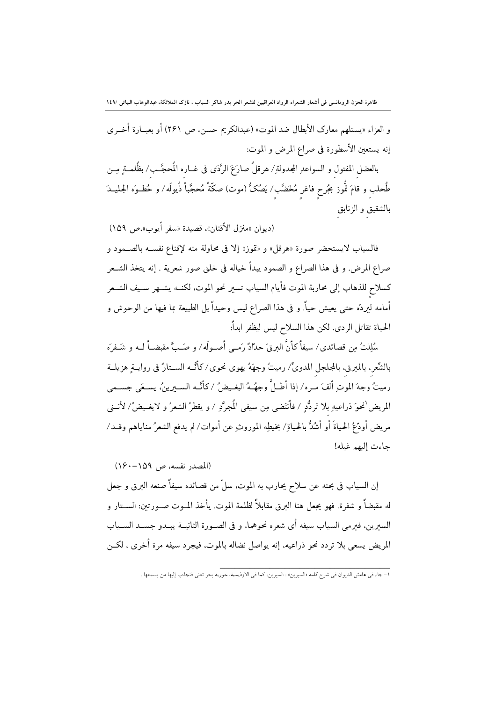و العزاء «يستلهم معارك الأبطال ضد الموت» (عبدالكريم حسن، ص ٢۶١) أو بعبــارة أخــري إنه يستعين الأسطورة في صراع المرض و الموت:

بالعضل المفتول و السواعدِ المجدولةِ/ هرقلُ صارَعَ الرَّدَى فى غــاره المُحجَّــب/ بظُلمــةٍ مِــن طُحلب و قامَ تُّوز بجُرح فاغر مُخَضَّب/ يَصُكُّ (موت) صكَّةً مُحجَّباً ذُيولَه/ و خُطـوَه الجليــدَ بالشقيق و الزنابق

(ديوان «منزل الأقنان»، قصيدة «سفر أيوب»،ص ١٥٩)

فالسياب لايستحضر صورة «هرقل» و «تموز» إلا في محاولة منه لإقناع نفسـه بالصــمود و صراع المرض. و في هذا الصراع و الصمود يبدأ خياله في خلق صور شعرية . إنه يتخذ الشــعر كسلاح للذهاب إلى محاربة الموت فأيام السياب تسير نحو الموت، لكنــه يشــهر ســيف الشــعر أمامه ليردّه حتى يعيش حياً. و في هذا الصراع ليس وحيداً بل الطبيعة بما فيها من الوحوش و الحياة تقاتل الردي. لكن هذا السلاح ليس ليظفر ابداً:

سُلِلتُ مِن قصائدي/ سيفاً كأنَّ البرقَ حدّادٌ رَمـبي أُصـولَه/ و صَـبَّ مقبضــاً لــه و شَـفرَه بالشِّعر، بالمبرق، بالمجلجل المدوىِّ/ رميتُ وجهَهُ يهوى نحوى/كاَّئـه الســتارُ في روايــةٍ هزيلــة رميتُ وجهَ الموتِ أَلفَ مـره/ إذا أطـلَّ وجهُــهُ البغـيضُ / كانَّــه الســيرينُ، يسـعَى جســمى المريض ٰنحوَ ذراعيهِ بلا تَرِ دُّدٍ / فأَنتَضى مِن سيفي الْمُجرَّدِ / و يقطرُ الشعرُ و لايغـيضُ/ لأنـني مريض أودّعُ الحياةَ أو أشُدُّ بالحياةِ/ بخيطِه الموروثِ عن أموات/ لم يدفع الشعرُ مناياهم وقــد/ جاءت إليهم غيله!

(المصدر نفسه، ص ١٥٩-١٤٠)

إن السياب في بحثه عن سلاح يحارب به الموت، سلَّ من قصائده سيفاً صنعه البرق و جعل له مقبضاً و شفرة. فهو يجعل هنا البرق مقابلاً لظلمة الموت. يأخذ المــوت صــورتين: الســتار و السعرين، فعرمي السياب سيفه أي شعره نحوهما، و في الصـورة الثانيــة يبــدو جســد الســياب المريض يسعى بلا تردد نحو ذراعيه، إنه يواصل نضاله بالموت، فيجرد سيفه مرة أخرى ، لكـن

ا- جاء في هامش الديوان في شرح كلمة «السيرين» : السيرين، كما في الاوذيسية، حورية بحر تغني فتجذب إليها من يسمعها .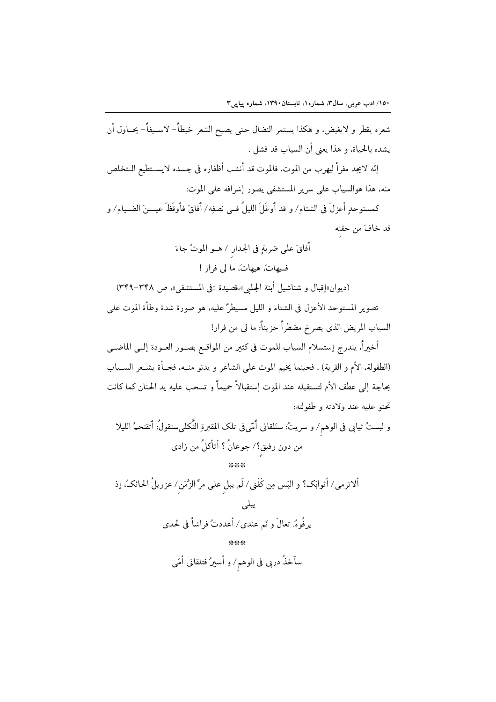شعره يقطر و لايغيض، و هكذا يستمر النضال حتى يصبح الشعر خيطاً– لاسـيفاً– يحــاول أن يشده بالحياة، و هذا يعني أن السياب قد فشل .

إنّه لايجد مفراً ليهرب من الموت، فالموت قد أنشب أظفاره في جسده لايســتطيع الــتخلص منه، هذا هوالسياب على سرير المستشفى يصور إشرافه على الموت:

كمستوحدٍ أعزلَ في الشتاءِ/ و قد أوغَلَ الليلُ فـي نصفِه/ أفاقَ فأوقَظَ عيــــنَ الضــياءِ/ و قد خافَ من حقنه

> أُفاقَ على ضربةٍ في الجدار / هــو الموتُ جاءَ فيهاتَ، هيهاتَ، ما لي فرار !

(ديوان «إقبال و شناشيل أبنة الجلبي»،قصيدة «في المستشفى»، ص ٣٤٨-٣٤٩) تصوير المستوحد الأعزل في الشتاء و الليل مسيطرٌ عليه، هو صورة شدة وطأة الموت على السياب المريض الذي يصرخ مضطراً حزيناً: ما لي من فرار!

أخيراً، يندرج إستسلام السياب للموت في كثير من المواقـع بصــور العــودة إلــي الماضــي (الطفولة، الأم و القرية) . فحينما يخيم الموت على الشاعر و يدنو منــه، فجــأة يشــعر الســياب بحاجة إلى عطف الأم لتستقبله عند الموت إستقبالاً حميماً و تسحب عليه يد الحنان كما كانت تحنو عليه عند ولادته و طفولته:

و لبستُ ثيابي في الوهم/ و سريتُ: ستَلقاني أُمّيفي تلك المقبرةِ الثَّكليستقولُ: أتقتحمُ الليلا من دونِ رفيق؟/ جوعانُ ؟ أتأكلُ من زادي

ألاترمي/ أثوابَك؟ و البَس مِن كَفَنِي/ لَم يبل على مرِّ الزَّمَن/ عزريلُ الحائكُ، إذ يبلى يرِ فُوهُ. تعالَ و نَم عندي/ أعددتُ فراشاً في لحدي

سآخذُ دربي في الوهم/ و أسيرُ فتلقاني أمّي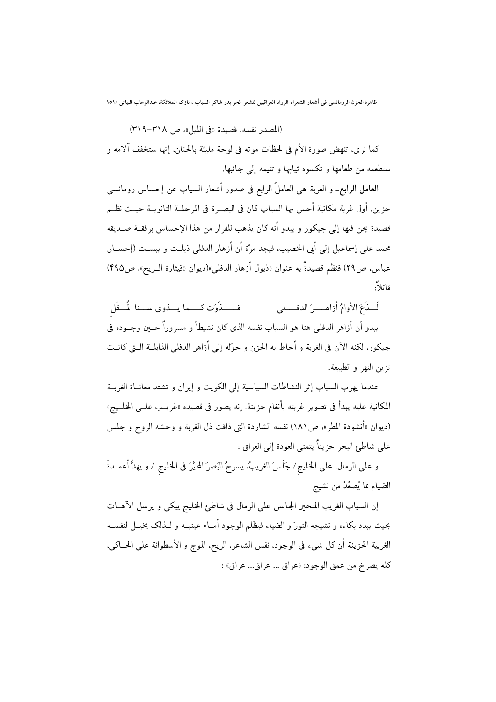(المصدر نفسه، قصيدة «في الليل»، ص ٣١٨-٣١٩)

كما نرى، تنهض صورة الأم في لحظات موته في لوحة مليئة بالحنان، إنها ستخفف آلامه و ستطعمه من طعامها و تكسوه ثيابها و تنيمه إلى جانبها.

العامل الرابع\_ و الغربة هي العاملُ الرابع في صدور أشعار السياب عن إحساس رومانسي حزين. أول غربة مكانية أحس بها السياب كان في البصـرة في المرحلــة الثانويــة حيــث نظــم قصيدة يحن فيها إلى جيكور و يبدو أنه كان يذهب للفرار من هذا الإحساس برفقــة صــديقه محمد على إسماعيل إلى أبي الخصيب، فيجد مرَّة أن أزهار الدفلي ذبلـت و يبسـت (إحســان عباس، ص٢٩) فنظم قصيدةً به عنوان «ذبول أزهار الدفلي»(ديوان «قيثارة الـريح»، ص٣٩٥) قائلاً:

فسسذَوَتِ كِسِيما يسِيذُوي سِسْنا الْمُسْقَل لَسِذَعَ الأوامُ أزاهسيرَ الدفسيلي يبدو أن أزاهر الدفلي هنا هو السياب نفسه الذي كان نشيطاً و مسروراً حـــبن وجــوده في جيكور، لكنه الآن في الغربة و أحاط به الحزن و حوَّله إلى أزاهر الدفلي الذابلــة الــتي كانــت تزين النهر و الطبيعة.

عندما يهرب السياب إثر النشاطات السياسية إلى الكويت و إيران و تشتد معانــاة الغربــة المكانية عليه يبدأ في تصوير غربته بأنغام حزينة. إنه يصور في قصيده «غريب علــي الخلــيج» (ديوان «أنشودة المطر»، ص١٨١) نفسه الشاردة التي ذاقت ذل الغربة و وحشة الروح و جلس على شاطئ البحر حزيناً يتمنى العودة إلى العراق :

و على الرمال. على الخليج/ جَلَسَ الغريبُ، يسرحُ البَصرَ المحيَّرَ في الخليج / و يهدُّ أعمــدةَ الضياءِ بما يُصعِّدُ من نشيج

إن السياب الغريب المتحير الجالس على الرمال في شاطئ الخليج يبكي و يرسل الآهـات بحيث يبدد بكاءه و نشيجه النورَ و الضياء فيظلم الوجود أمــام عينيــه و لــذلك يخيــل لنفســه الغربية الحزينة أن كل شيء في الوجود، نفس الشاعر، الريح، الموج و الأسطوانة على الحــاكي، كله يصرخ من عمق الوجود: «عراق ... عراق... عراق» :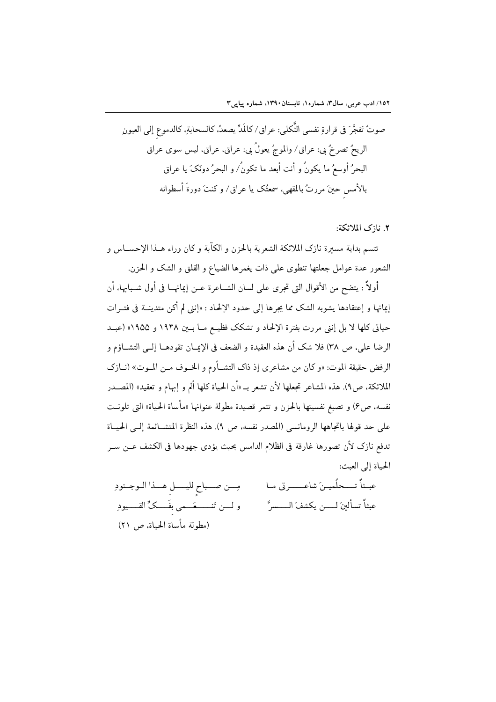٢. نازك الملائكة:

تتسم بداية مسيرة نازك الملائكة الشعرية بالحزن و الكآبة و كان وراء هــذا الإحســاس و الشعور عدة عوامل جعلتها تنطوى على ذات يغمرها الضياع و القلق و الشك و الحزن.

أولاً : يتضح من الأقوال التي تجرى على لسان الشــاعرة عــن إيمانهــا في أول شــبابها، أن إعانها و إعتقادها يشوبه الشك مما يجرها إلى حدود الإلحاد : «إنني لم أكن متدينــة في فتــرات حياتي كلها لا بل إنني مررت بفترة الإلحاد و تشكك فظيـع مــا بــين ١٩۴٨ و ١٩٥٥» (عبــد الرضا على، ص ٣٨) فلا شك أن هذه العقيدة و الضعف في الإيمــان تقودهــا إلــي التشــاؤم و الرفض حقيقة الموت: «و كان من مشاعري إذ ذاك التشــأوم و الخــوف مــن المــوت» (نــازك الملائكة، ص٩). هذه المشاعر تجعلها لأن تشعر بـ «أن الحياة كلها ألم و إبهام و تعقيد» (المصــدر نفسه، ص۶) و تصبغ نفسيتها بالحزن و تثمر قصيدة مطولة عنوانها «مأساة الحياة» التي تلونـت على حد قولها باتجاهها الرومانسي (المصدر نفسه، ص ٩). هذه النظرة المتشــائمة إلــي الحيــاة تدفع نازك لأن تصورها غارقة في الظلام الدامس بحيث يؤدي جهودها في الكشف عــن ســر الحياة إلى العبث: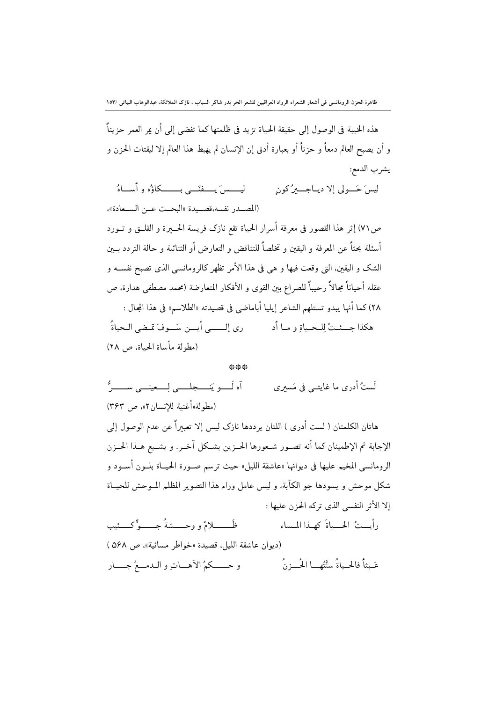هذه الخيبة في الوصول إلى حقيقة الحياة تزيد في ظلمتها كما تفضي إلى أن عر العمر حزيناً و أن يصبح العالم دمعاً و حزناً أو بعبارة أدق إن الإنسان لم يهبط هذا العالم إلا ليقتات الحزن و يشرب الدمع:

ليسسيرَ يُسْتَفِيسَ بِ يَسْلِكُمْ وَأَسْلَاهُ ليس َجَــولي الا ديباجــيرُ کون (المصدر نفسه،قصيدة «البحث عــن الســعادة»،

ص٧١) إثر هذا القصور في معرفة أسرار الحياة تقع نازك فريسة الحــــيرة و القلـــق و تـــورد أسئلة بحثاً عن المعرفة و اليقين و تخلصاً للتناقض و التعارض أو الثنائية و حالة التردد بــين الشك و اليقين. التي وقعت فيها و هي في هذا الأمر تظهر كالرومانسي الذي تصبح نفســه و عقله أحياناً مجالاً رحيباً للصراع بين القوى و الأفكار المتعارضة (محمد مصطفى هدارة، ص ٢٨) كما أنها يبدو تستلهم الشاعر إيليا أباماضي في قصيدته «الطلاسم» في هذا المجال : هكذا جِسسًتُ لِلْحِياةِ وِ ما أَدِ مِنْ إِلَيْسِي أَيِسْ سَيَوْفَ مِّضِي الْحِياةُ ۖ (مطولة مأساة الحياة، ص ٢٨)

## AL AL AL

آه لَــــو يَنـــــجلـــــى لِــــعينــــى ســــــرٌّ لَستُ أُدري ما غايتــي في مَسيري (مطولة«أغنية للانسان ٢»، ص ٣۶٣)

هاتان الكلمتان ( لست أدري ) اللتان يرددها نازك ليس إلا تعبيراً عن عدم الوصول إلى الإجابة ثم الإطمينان كما أنه تصـور شـعورها الحـزين بشـكل آخـر. و يشـيع هـذا الحــزن الرومانسي المخيم عليها في ديوانها «عاشقة الليل» حيث ترسم صـورة الحيــاة بلــون أســود و شكل موحش و يسودها جو الكآبة، و ليس عامل وراء هذا التصوير المظلم المـوحش للحيـاة إلا الأثر النفسي الذي تركه الحزن عليها :

ظّـــــــــلامٌ و وحـــــشةُ جــــــوٌّ كــــئيب رأيستُ الحسياةَ كهذا المساء (ديوان عاشقة الليل، قصيدة «خواطر مسائية»، ص ٥۶٨ ) عَـبثاً فالحـياةُ سنَّتُهــا الْحُــزنُ و حـــكمُ الآهــاتِ و الـدمــعُ جـــار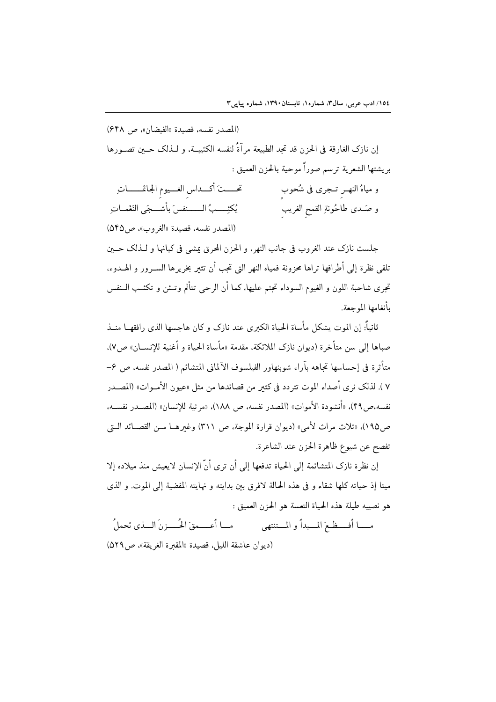(المصدر نفسه، قصيدة «الفيضان»، ص 64۸) إن نازك الغارقة في الحزن قد تجد الطبيعة مر آةً لنفسه الكئيبــة، و لــذلك حــين تصــورها بريشتها الشعرية ترسم صوراً موحية بالحزن العميق : تحسستَ أكسداس الغسيوم الجاثمـــماتِ و مياهُ النهـر تـجري في شُحوب يُكئِـــبُ الـــــنفسَ بأشــجَى النَغَمــاتِ و صَـدى طاحُونةِ القمح الغريب (المصدر نفسه، قصيدة «الغروب»، ص2۴۵)

جلست نازك عند الغروب في جانب النهر، و الحزن المحرق پمشي في كيانها و لــذلك حــين تلقى نظرة إلى أطرافها تراها محزونة فمياه النهر التي تجب أن تثير بخريرها الســرور و الهــدوء، تجرى شاحبة اللون و الغيوم السوداء تجثم عليها، كما أن الرحى تتألم وتــئن و تكئــب الــنفس بأنغامها المه حعة.

ثانياً: إن الموت يشكل مأساة الحياة الكبرى عند نازك و كان هاجسها الذي رافقهــا منــذ صباها إلى سن متأخرة (ديوان نازك الملائكة، مقدمة «مأساة الحياة و أغنية للإنســان» ص٧). متأثرة في إحساسها تجاهه بآراء شوبنهاور الفيلسوف الآلماني المتشائم ( المصدر نفسه، ص ۶-٧ ). لذلك نرى أصداء الموت تتردد في كثير من قصائدها من مثل «عيون الأمــوات» (المصــدر نفسه،ص ۴۹)، «أنشودة الأموات» (المصدر نفسه، ص ١٨٨)، «مر ثبة للانسان» (المصـدر نفسـه، ص١٩٥)، «ثلاث مراث لأمي» (ديوان قرارة الموجة، ص ٣١١) وغيرهـا مـن القصـائد الـتي تفصح عن شيوع ظاهرة الحزن عند الشاعرة.

إن نظرة نازك المتشائمة إلى الحياة تدفعها إلى أن ترى أنَّ الإنسان لايعيش منذ ميلاده إلا ميتا إذ حياته كلها شقاء و في هذه الحالة لافرق بين بدايته و نهايته المفضية إلى الموت. و الذي هو نصيبه طيلة هذه الحياة التعسة هو الحزن العميق :

(ديوان عاشقة الليل، قصيدة «المقبرة الغريقة»، ص٥٢٩)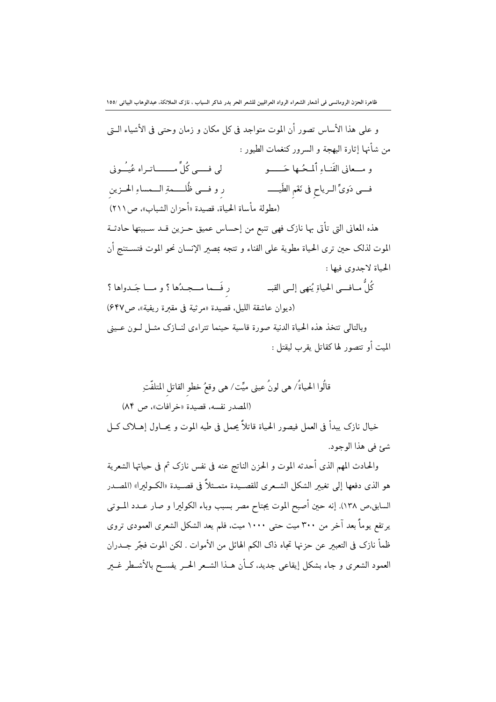و على هذا الأساس تصور أن الموت متواجد في كل مكان و زمان وحتى في الأشياء الـتي من شأنها إثارة البهجة و السرور كنغمات الطيور : و مــعاني الفَنــاءِ أَلْمـحُــها حَــــــو لي فسسي كُلٌّ مــــــــاتيراه عُيـُــوني ر و فسي ظُلـــمةِ الــمساءِ الحــزين فـــي دَويٌّ الــرياح في نَغَم الطّيــــــ (مطولة مأساة الحياة، قصيدة «أحزان الشباب»، ص (٢١١) هذه المعاني التي تأتي بها نازك فهي تنبع من إحساس عميق حـزين قـد سـببتها حادثــة الموت لذلك حين ترى الحياة مطوية على الفناء و تتجه بمصبر الإنسان نحو الموت فتســتنج أن الحياة لاجدوى فيها :

كُلُّ مــافـــم الحياةِ يُنهي إلــي القبــ ر فَــما مــجـدُها ؟ و مـــا جَــدواها ؟ (ديوان عاشقة الليل، قصيدة «مرثية في مقبرة ريفية»، ص٤٤٧) وبالتالي تتخذ هذه الحياة الدنية صورة قاسية حينما تتراءى لنــازك مثــل لــون عــيني الميت أو تتصور لها كقاتل يقرب ليقتل :

قالُوا الحياةُ/ هي لونُ عيني ميِّت⁄ هي وقعُ خطو القاتل المتلفّتهِ (المصدر نفسه، قصيدة «خرافات»، ص ٨۴) خيال نازك يبدأ في العمل فيصور الحياة قاتلاً يحمل في طيه الموت و يحــاول إهـــلاك كــل شئ في هذا الوجود.

والحادث المهم الذى أحدثه الموت و الحزن الناتج عنه فى نفس نازك ثم فى حياتها الشعرية هو الذي دفعها إلى تغيير الشكل الشـعري للقصـيدة متمـثلاً في قصـيدة «الكــوليرا» (المصـدر السابق،ص ١٣٨). إنه حين أصبح الموت يجتاح مصر بسبب وباء الكوليرا و صار عــدد المــوتي یر تفع یوماً بعد آخر من ۳۰۰ میت حتی ۱۰۰۰ میت، فلم یعد الشکل الشعری العمودی تروی ظمأ نازك في التعبير عن حزنها تجاه ذاك الكم الهائل من الأموات . لكن الموت فجَّر جـــدران العمود الشعري و جاء بشكل إيقاعي جديد، كـأن هــذا الشــعر الحــر يفســح بالأشــطر غــــر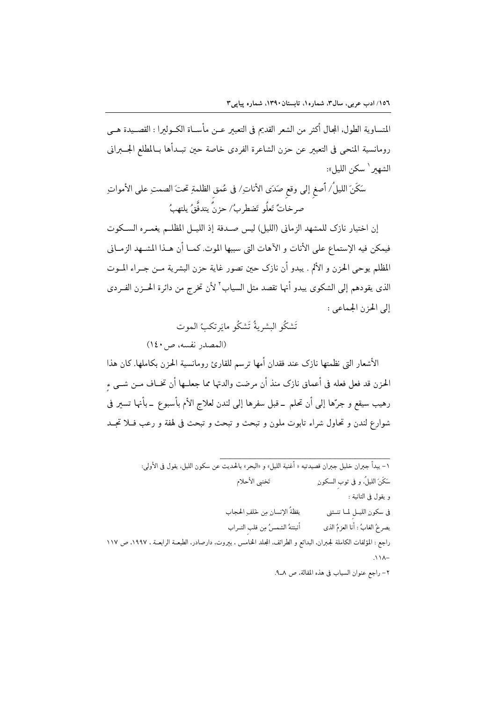المتساوية الطول. المجال أكثر من الشعر القديم في التعبير عــن مأســاة الكــوليرا : القصــيدة هــي رومانسية المنحي في التعبير عن حزن الشاعرة الفردي خاصة حين تبـدأها بــالمطلع الجــــبراني الشهىر ` سكن الليل»:

سَكَنَ الليلُ/ أصغ إلى وقع صَدَى الأناتِ/ في عُمق الظلمةِ تحتَ الصمتِ على الأمواتِ صر خاتُ تَعلُو ۖ تَضطر بُ/ حزنٌ يتدفَّقُ يلتهبُ

إن اختيار نازك للمشهد الزماني (الليل) ليس صـدفة إذ الليــل المظلــم يغمــره الســكوت فيمكن فيه الإستماع على الأنات و الآهات التي سببها الموت. كمــا أن هــذا المشــهد الزمــاني المظلم يوحي الحزن و الألم . يبدو أن نازك حين تصور غاية حزن البشرية مـن جــراء المــوت الذي يقودهم إلى الشكوى يبدو أنها تقصد مثل السياب<sup>٬ ل</sup>أن تخرج من دائرة الحـــزن الفــردى إلى الحزن الجماعي :

## تَشكُو البشريةُ تَشكُو مايَرتكبُ الموت

(المصدر نفسه، ص١٤٠)

الأشعار التي نظمتها نازك عند فقدان أمها ترسم للقارئ رومانسية الحزن بكاملها. كان هذا الحزن قد فعل فعله في أعماق نازك منذ أن مرضت والدتها مما جعلــها أن تخــاف مــن شــي ء رهيب سيقع و جرِّها إلى أن تحلم \_قبل سفرها إلى لندن لعلاج الأم بأسبوع \_بأنها تسير في شوارع لندن و تحاول شراء تابوت ملون و تبحث و تبحث و تبحث في لهفة و رعب فــلا تجــد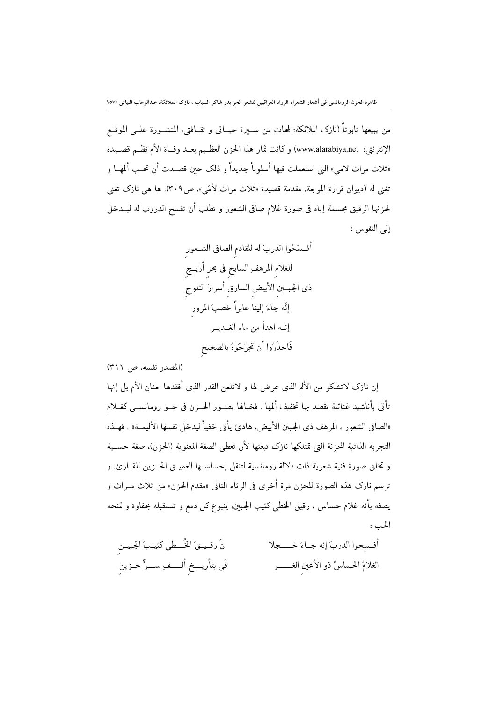من يبيعها تابوتاً (نازك الملائكة: لمحات من ســيرة حيــاتي و ثقــافتي، المنشــورة علــي الموقــع الإنترنتي: www.alarabiya.net) وكانت ثمار هذا الحزن العظـيم بعــد وفــاة الأم نظـم قصــيده «ثلاث مراث لامي» التي استعملت فيها أسلوباً جديداً و ذلك حىن قصـدت أن تحـب ألمهــا و تغني له (ديوان قرارة الموجة، مقدمة قصيدة «ثلاث مراث لأمّي»، ص٣٠٩). ها هي نازك تغني لحزنها الرقيق مجسمة إياه في صورة غلام صافي الشعور و تطلب أن تفسح الدروب له ليــدخل إلى النفوس :

(المصدر نفسه، ص ٣١١)

إن نازك لاتشكو من الألم الذي عرض لها و لاتلعن القدر الذي أفقدها حنان الأم بل إنها تأتي بأناشيد غنائية تقصد بها تخفيف ألمها . فخيالها يصـور الحــزن في جــو رومانســي كغــلام «الصافي الشعور ، المرهف ذي الجبين الأبيض، هادئ يأتي خفياً ليدخل نفسها الأليمــة» . فهــذه التجربة الذاتية المحزنة التي تمتلكها نازك تبعثها لأن تعطى الصفة المعنوية (الحزن)، صفة حســية و تخلق صورة فنية شعرية ذات دلالة رومانسية لتنقل إحساســها العميــق الحــزين للقــارئ. و ترسم نازك هذه الصورة للحزن مرة أخرى في الرثاء الثاني «مقدم الحزن» من ثلاث مــراث و يصفه بأنه غلام حساس ، رقيق الخطي كئيب الجبين. ينبوع كل دمع و تستقبله بحفاوة و تمنحه الحب :

نَ رقيــقَ الخُــطى كئيـبَ الجبيــن أفسحوا الدربَ إنه جـاءَ خــــجلا قَى بتأريـــخ ألــــفــر ســـرٍّ حــزين الغلامُ الحساسُ ذو الأعين الغـــــــــر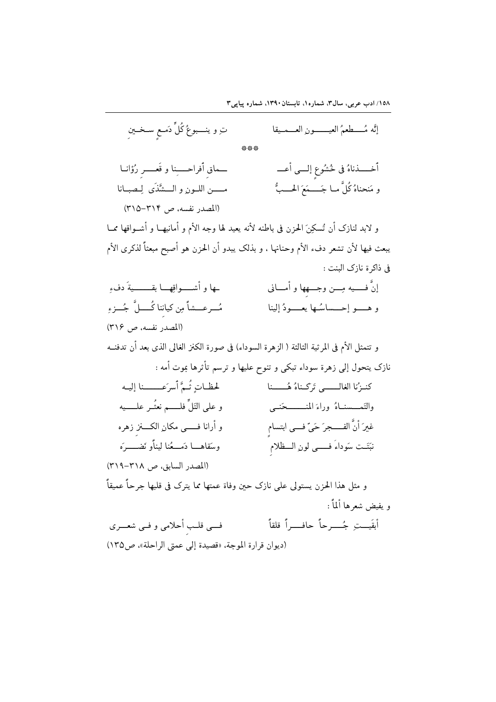۱۵۸/ ادب عربی، سال۳. شماره۱. تابستان۱۳۹۰، شماره پیاپی۳

| تِ و ينــــبوعُ كُلٍّ دَمــعٍ ســخــينِ                                                     | إنَّه مُــــطعمُ العيــــــــونِ العـــمــيقا                        |
|---------------------------------------------------------------------------------------------|----------------------------------------------------------------------|
|                                                                                             |                                                                      |
| حماق أفراحــــِنا و قَعـــــر رُؤانــا                                                      | أخـــــذناهُ في خُشُوعٍ إلـــي أعـــ                                 |
| مـــــن اللــون و الـــشَّذَى لِـصبــانا                                                    | و مَنحناهُ كُلَّ مــا جَـــــمَعَ الحــــبُّ                         |
| (المصدر نفسه، ص ٣١٤-٣١٥)                                                                    |                                                                      |
| و لابد لنازک أن تُسکِنَ الحزن في باطنه لأنه يعيد لها وجه الأم و أمانيهــا و أشــواقها ممــا |                                                                      |
| يبعث فيها لأن تشعر دفء الأم وحنانها ، و بذلك يبدو أن الحزن هو أصبح مبعثاً لذكرى الأم        |                                                                      |
|                                                                                             | فى ذاكرة نازك البنت :                                                |
| ـها و أشـــــواقِهــــا بقــــــــــيةَ دفءِ                                                | إنَّ فـــــيه مِـــن وجــــهها و أمــــاني                           |
| مُــرعـــشاً مِن كياننا كُــــلَّ ۖ جُـــزءِ                                                | و هـــــو إحــــساسُــها يعــــــودُ إلينا                           |
| (المصدر نفسه، ص ٣١۶)                                                                        |                                                                      |
| و تتمثل الأم في المرثية الثالثة ( الزهرة السوداء) في صورة الكنز الغالي الذي بعد أن تدفنــه  |                                                                      |
|                                                                                             | نازک يتحول إلى زهرة سوداء تبکى و تنوح عليها و ترسم تأثرها بموت أمه : |
| لحظاتٍ ثُمَّ أسرَعـــــنا إليه                                                              | كنـزُنا الغالـــــي تَركـناهُ هُـــــنا                              |
| و على التَلٌّ فلـــــم نعثُــر علـــــيه                                                    | والتَمـــسنــاهُ وراءَ المنــــــــحَنــى                            |
| و أرانا فـــــى مكانِ الكــــنز زهره                                                        | غيرَ أنَّ الفــــجرَ حَيِّ فـــي ابتسام                              |
| وسَقاهـــا دَمـــعُنا ليناًو نَضـــــرَه                                                    | نبَتَـت سَوداءَ فــــي لون الـــظلام                                 |
| (المصدر السابق، ص ٣١٨-٣١٩)                                                                  |                                                                      |
| و مثل هذا الحزن يستولى على نازك حين وفاة عمتها مما يترك فى قلبها جرحاً عميقاً               |                                                                      |
|                                                                                             | و يفيض شعرها ألماً :                                                 |
| فسي قلب أحلامي و فـي شعـــري                                                                | أبقَيـــت جُــــــرحاً حافــــــراً قلقاً                            |
| (ديوان قرارة الموجة، «قصيدة إلى عمتى الراحلة»، ص١٣٥)                                        |                                                                      |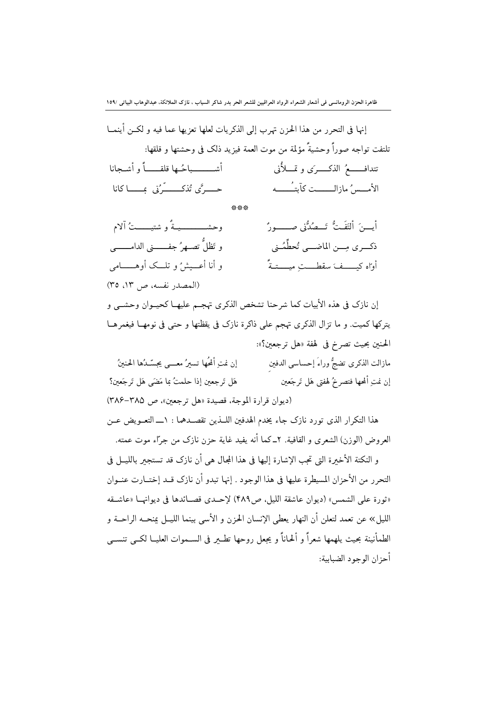ظاهرة الحزن الرومانسي في أشعار الشعراء الرواد العراقيين للشعر الحر بدر شاكر السياب ، نازك الملائكة، عبدالوهاب البياتي /١٥٩

| إنها في التحرر من هذا الحزن تهرب إلى الذكريات لعلها تعزيها عما فيه و لكــن أينمــا |                                                                          |
|------------------------------------------------------------------------------------|--------------------------------------------------------------------------|
|                                                                                    | تلتفت تواجه صوراً وحشيةً مؤلمة من موت العمة فيزيد ذلك في وحشتها و قلقها: |
| أشـــــــــباحُــها قلقـــــــاً و أشــجانا                                        | تتدافــــــعُ الذكـــــرَى و تمــــلأُنى                                 |
| حـــــرًى تُذكـــــــّرُنى ۚ بِــــــا كانا                                        | الأمسسُ مازالـــــت كآبتـُـــــه                                         |

\*\*\*

| وحشـــــــــــيـةٌ و شتيــــــتُ آلام       | أيسنَ ألتَفَتُّ تَــصُدُّنى صــــــورُّ |
|---------------------------------------------|-----------------------------------------|
| و تَظلُّ تصــهرُ جفـــــــنى الدامــــــــى | ذكــرى مِـــن الماضـــي تُحطِّمُـني     |
| و أنا أعــيشُ و تلـــك أوهـــــــامى        | أواه كيــــفَ سقطـــتِ ميــــتـةً       |
| (المصدر نفسه، ص ١٣، ٣٥)                     |                                         |

إن نازك في هذه الأبيات كما شرحنا تشخص الذكرى تهجم عليهـا كحيــوان وحشــي و يتركها كميت. و ما تزال الذكرى تهجم على ذاكرة نازك في يقظتها و حتى في نومهـا فيغمرهـا الحنين بحيث تصرخ في لهفة «هل ترجعين؟»: مازالت الذكرى تضجُّ وراءَ إحساسي الدفين إن نمت ألْحُها تسيرُ معـــ عصّـدُها الحنينُ

إن نمت ألمحها فتصرخُ لهفتي هَل تَرجَعين هَل تَرجعين إذا حلمتُ بما مَضَى هَل تَرجَعين؟ (ديوان قرارة الموجة، قصيدة «هل ترجعين»، ص ٣٨٥-٣٨۶)

هذا التكرار الذي تورد نازك جاء يخدم الهدفين اللَّــذين تقصــدهما : ١ــــ التعــويض عــن العروض (الوزن) الشعرى و القافية. ٢ـ كما أنه يفيد غاية حزن نازك من جرّاء موت عمته.

و النكتة الأخيرة التي تجب الإشارة إليها في هذا المجال هي أن نازك قد تستجير بالليـــل في التحرر من الأحزان المسيطرة عليها في هذا الوجود . إنها تبدو أن نازك قــد إختــارت عنــوان «ثورة على الشمس» (ديوان عاشقة الليل، ص٣٨٩) لإحـدى قصـائدها في ديوانهــا «عاشــقه الليل» عن تعمد لتعلن أن النهار يعطي الإنسان الحزن و الأسى بينما الليــل بمنحــه الراحــة و الطمأنينة بحيث يلهمها شعراً و ألحاناً و يجعل روحها تطـــر في الســـموات العليــا لكـــي تنســـي أحزان الوجود الضبابية: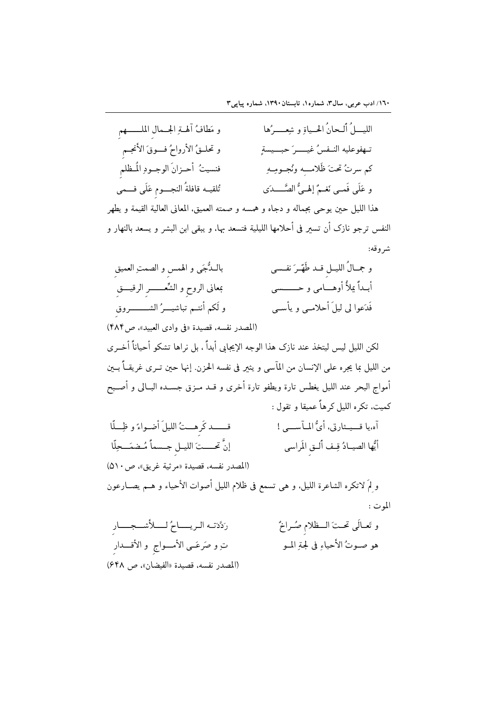| و مَطافُ أَله تِرالجـمالِ الملــــــهمِ                                              | الليــــلُ أَلــحانُ الحــياةِ و شِعـــــرُها                                           |
|--------------------------------------------------------------------------------------|-----------------------------------------------------------------------------------------|
| و تحلــقُ الأرواحُ فـــوقَ الأنجــمِ                                                 | تـهفوعليه النــفسُ غيــــــرَ حبـــيسةٍ                                                 |
| فنسيتُ أحـزانَ الوجــودِ المُــظلمِ                                                  | كم سرتُ تحتَ ظَلامــِهِ ونُجــومِــهِ                                                   |
| تُلقيــه قافلةُ النجــــوم عَلَى فـــمى                                              | و عَلَى فَمـى نَغـمٌ إلهـىُّ الصَّـــدَى                                                |
| هذا الليل حين يوحى بجماله و دجاه و همسه و صمته العميق، المعاني العالية القيمة و يطهر |                                                                                         |
|                                                                                      | النفس ترجو نازک أن تسير في أحلامها الليلية فتسعد بها، و يبقى ابن البشر و يسعد بالنهار و |
|                                                                                      | شروقه:                                                                                  |
|                                                                                      |                                                                                         |

| بالـدُّجَى و الهمسِ و الصمتِ العميقِ          | و جمــالُ الليـــلِ قـــد طَهّــرَ نفــسى |
|-----------------------------------------------|-------------------------------------------|
| بمعانى الروح و الشُّعــــــــــرِ الرقيــــقِ | أبــداً يملأُ أوهــــامى و حـــــــــسى   |
| و لَكم أنتــم تباشيــــرُ الشــــــــــــروقٍ | فَدَعوا لي ليلَ أحلامــي و يأســي         |

(المصدر نفسه، قصيدة «في وادي العبيد»، ص۴۸۴) لكن الليل ليس ليتخذ عند نازك هذا الوجه الإيجابي أبداً ، بل نراها تشكو أحياناً أخــرى من الليل بما يجره على الإنسان من المآسى و يثير في نفسه الحزن. إنها حين تــرى غريقــاً بــين أمواج البحر عند الليل يغطس تارة ويطفو تارة أخرى و قــد مــزق جســده البــالى و أصــبح کميت، تکره الليل کرهاً عميقا و تقول :

قــــد كَرهــتُ الليلَ أضـواءً و ظِــلّا آه،يا قــيـثارتي، أيُّ المــآســي ! إنَّ تحستَ الليـل جـسماً مُـضمَــحِلَّا أيُّها الصيـادُ قِـف أَلــق المَراسي (المصدر نفسه، قصيدة «مرثية غريق»، ص١٠/٥)

و لِمَ لاتكره الشاعرة الليل، و هي تسمع في ظلام الليل أصوات الأحياء و هــم يصــارعون الموت :

رَدَّدَتــه الـريـــــاحُ لـــــلأَشـــجــــار و تَعـالَى تحـتَ الــظلام صُـراخٌ هو صـوتُ الأحياءِ في لجةِ المـو ت ٍو صَرعَــى الأمــــواج ۖ و الأقــــدار (المصدر نفسه، قصيدة «الفيضان»، ص ٤۴٨)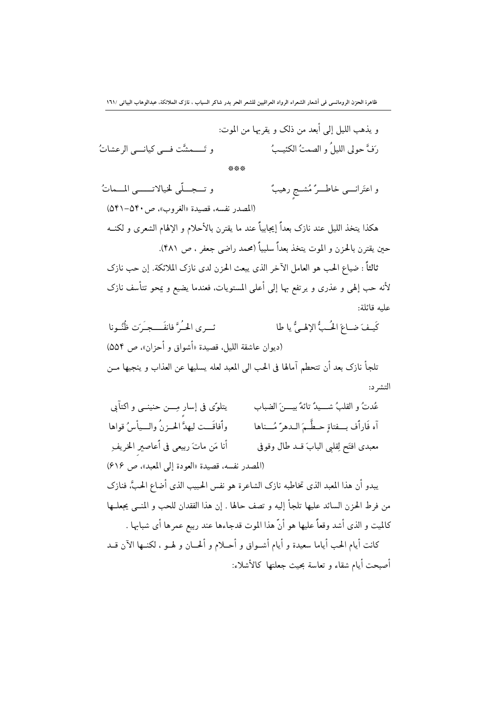|                                        | و يذهب الليل إلى أبعد من ذلك و يقربها من الموت: |
|----------------------------------------|-------------------------------------------------|
| و تَــــمشَّت فـــي كيانــــي الرعشاتُ | رَفَّ حولي الليلُ و الصمتُ الكئيـبُ             |
|                                        | ***                                             |

و تــجــلّى لخيالاتــــى المــماتُ و اعتَرانــــى خاطــــرٌ مُشــج رهيبٌ (المصدر نفسه، قصيدة «الغروب»، ص ۵۴۰–۵۴۱) هكذا يتخذ الليل عند نازك بعداً إيجابياً عند ما يقترن بالأحلام و الإلهام الشعرى و لكنــه حين يقترن بالحزن و الموت يتخذ بعداً سلبياً (محمد راضي جعفر ، ص ۴۸۱).

ثالثاً : ضياع الحب هو العامل الآخر الذي يبعث الحزن لدى نازک الملائکة. إن حب نازک لأنه حب إلهي و عذري و يرتفع بها إلى أعلى المستويات، فعندما يضيع و يمحو تتأسف نازك عليه قائلة:

ئے ی الجُہ ؓ فانفَہے۔َ ٖت ظُنُہونا كَيفَ ضاعَ الْحُبُّ الإِلْهِ فَي يا طا (ديوان عاشقة الليل، قصيدة «أشواق و أحزان»، ص ٥٥۴) تلجأ نازك بعد أن تتحطم آمالها في الحب الى المعبد لعله يسليها عن العذاب و ينجيها مــن التشر د:

يتلوَّى في إسار مِـــن حنينــي و اكتآىي عُدتُ و القلبُ شبيدٌ تائهٌ بيبينَ الضباب وأفاقَــت ليهدَّ الحــزنُ والـــيأسُ قواها آه فَاراًف بِــفتاةٍ حـطَّـمَ الـدهرّ مُـــناها أنا مَن ماتَ ربيعي في أُعاصير الخريف معبدي افتَح لِقلبي البابَ قــد طال وقوفي (المصدر نفسه، قصيدة «العودة إلى المعبد»، ص ٤١۶) يبدو أن هذا المعبد الذي تخاطبه نازك الشاعرة هو نفس الحبيب الذي أضاع الحبَّ، فنازك من فرط الحزن السائد عليها تلجأ إليه و تصف حالها . إن هذا الفقدان للحب و المنبي يجعلـها كالميت و الذي أشد وقعاً عليها هو أنَّ هذا الموت قدجاءها عند ربيع عمرها أي شبابها . كانت أيام الحب أياما سعيدة و أيام أشــواق و أحــلام و ألحــان و لهــو ، لكنــها الآن قــد أصبحت أيام شقاء و تعاسة بحيث جعلتها كالأشلاء: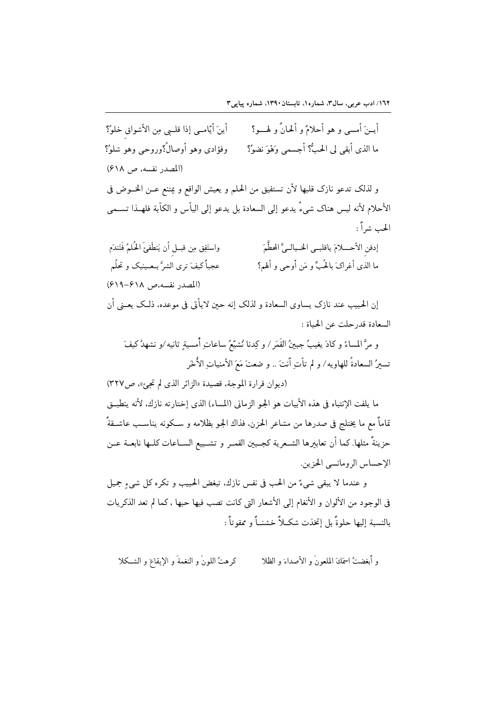أيــنَ أمسى و هو أحلامٌ و ألحانٌ و لهـــو؟ أينَ أيّامـي إذا قلــي مِن الأشواق خلوُ؟ ما الذي أبقى لي الحبُّ؟ أجسمي وَهْوَ نضوُ؟ وفؤادي وهو أوصالُ؟وروحي وهو شلوُ؟ (المصدر نفسه، ص ۶۱۸) و لذلك تدعو نازك قلبها لأن تستفيق من الحلم و يعيش الواقع و يمتنع عـن الخــوض في الأحلام لأنه ليس هناك شيءٌ يدعو إلى السعادة بل يدعو إلى اليأس و الكآبة فلهـذا تســمي الجب شراً : واستَفِق مِن قبــل أن يَنطَفئَ الحُلمُ فَتَندَم إدفن الأحسلامَ ياقلبـي الخـيالـيَّ المحظَّمَ عجباً كيفَ ترى الشرَّ بـعـينيک و تحلُم ما الذي أغراكَ بالحُبِّ و مَن أوحى و ألهم؟ (المصدر نفسه،ص ۶۱۸–۶۱۹) إن الحبيب عند نازك يساوي السعادة و لذلك إنه حين لايأتي في موعده، ذلـك يعــني أن السعادة قدر حلت عن الحياة : و مرَّ المساءُ و كادَ يغيبُ جبينُ القَمَرِ / و كِدنا نُشيّعُ ساعاتِ أُمسيةٍ ثانيه /و نشهدُ كيفَ

تسيرُ السعادةُ للهاويه/ و لم تأتِ أنتَ .. و ضعتَ مَعَ الأمنياتِ الأُخَرِ (ديوان قرارة الموجة، قصيدة «الزائر الذي لم تجئ»، ص٢٢٧)

ما يلفت الإنتباه في هذه الأبيات هو الجو الزماني (المساء) الذي إختارته نازك. لأنه ينطبـق تماماً مع ما يختلج في صدرها من مشاعر الحزن، فذاك الجو بظلامه و سـكونه يناسـب عاشــقةً حزينةً مثلها. كما أن تعابيرها الشــعرية كجــبين القمــر و تشــييع الســاعات كلــها نابعــة عــن الإحساس الرومانسي الحزين.

و عندما لا يبقى شيءٌ من الحب في نفس نازك. تبغض الحبيب و تكره كل شيءِ جميل في الوجود من الألوان و الأنغام إلى الأشعار التي كانت تصب فيها حبها ، كما لم تعد الذكريات بالنسبة إليها حلوةً بل إتخذت شكـلاً خشنــاً و ممقوتاً :

كرهتُ اللونَ و النغمةَ و الإيقاعَ و الشـكلا و أبغضتُ اسمَكَ المُلعونَ و الأصداءَ و الظلا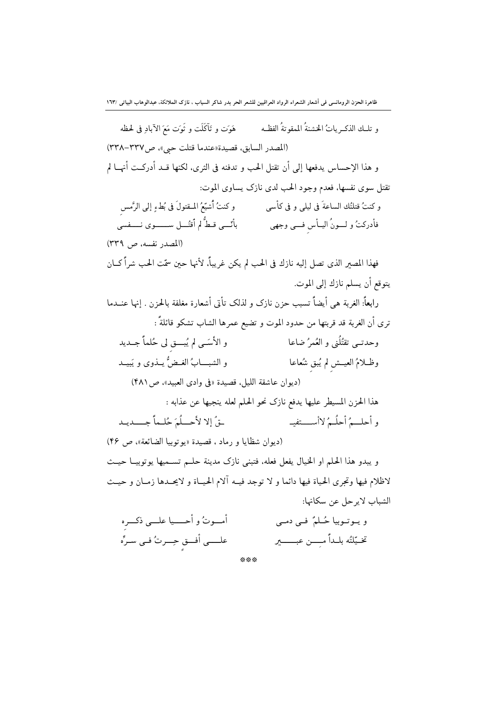و تلــك الذكــرياتُ الخشنةُ الممقوتةُ الفظــه هَوَت و تَآكَلَت و تُوَت مَعَ الآبادِ في لحظه (المصدر السابق، قصيدة «عندما قتلت حي»، ص٣٣٧-٣٣٨) و هذا الإحساس يدفعها إلى أن تقتل الحب و تدفنه في الثرى، لكنها قــد أدركــت أنهــا لم تقتل سوى نفسها، فعدم وجود الحب لدى نازك يساوى الموت: و كنتُ قتلتُك الساعةَ في ليلي و في كأسى مسمَّع و كنتُ أُشيّعُ المــقتولَ في بُطءِ إلى الرَّمس فأدركتُ و لـــونُ اليــأس فـــي وجهي مسمى بأنّـــي قـطُّ لم أقتُـــل ســـــــوى نـــــفسي (المصدر نفسه، ص ٣٣٩) فهذا المصير الذي تصل إليه نازك في الحب لم يكن غريباً، لأنها حين سمّت الحب شراً كــان يتوقع أن يسلم نازك إلى الموت. رابعاً: الغربة هي أيضاً تسبب حزن نازك و لذلك تأتى أشعارة مغلفة بالحزن . إنها عنــدما ترى أن الغربة قد قربتها من حدود الموت و تضيع عمرها الشاب تشكو قائلةً : وحدتي تقتُلُّني و العُمرُ ضاعا و الأسّبي لم يُبِّــق لي حُلماً جِــديد وظــلامُ العيــش لم يُبق شُعاعا و الشبـــابُ الغبـضُّ بِيــذوي و يَبِيــد (ديوان عاشقة الليل، قصيدة «في وادى العبيد»، ص (۴۸) هذا الحزن المسيطر عليها يدفع نازك نحو الحلم لعله ينجيها عن عذابه : يقُ إِلا لأحسلُمَ حُلِيماً جِسْدِيد و أحلـــمُ أحلُــمُ لاأســـــتفيــ (ديوان شظايا و رماد ، قصيدة «يو توبيا الضائعة»، ص ۴۶) و يبدو هذا الحلم او الخيال يفعل فعله، فتبنى نازك مدينة حلـم تسـميها يوتوبيــا حيــث لاظلام فيها وتجرى الحياة فيها دائما و لا توجد فيـه آلام الحيـاة و لايحــدها زمــان و حيــث الشباب لايرحل عن سكانها: أمـــوتُ و أحــــيا علـــي ذكـــره ويوترمبا جُبليٌ في دم

| $\overline{a}$                      |     | ری <del>ر رہ</del> یت ہے ہیں۔ سی     |
|-------------------------------------|-----|--------------------------------------|
| علــــي أفـــق حِـــرتُ فــي سـرِّه |     | تخـيّلتُه بلـداً مـِـــن عبـــــــير |
|                                     | *** |                                      |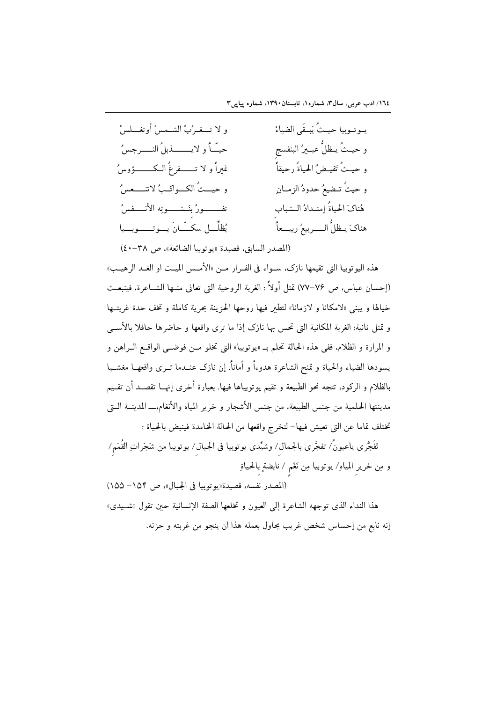| و لا تـــغـرُبُ الشــمسُ أوتغـــلسُ        | يـوتـوبيا حيـثُ يَبـقَى الضياءُ    |
|--------------------------------------------|------------------------------------|
| حيّاً و لايــــــــذبلُ النــــرجسُ        | و حيـثُ يـظلُّ عبـيرُ البنفسج      |
| نميراً و لا تـــــــفرغُ الــكــــــــؤوسُ | و حيـثُ تَفيـضُ الحياةُ رحيقاً     |
| و حينُ الكـواكبُ لاتنـــعسُ                | و حيثُ تـضيعُ حدودُ الزمــانِ      |
| تفــــــــورُ بنَــشـــــوتِه الأنـــــفسُ | هُناكَ الحياةُ إمتـدادُ الـشباب    |
| يُظلِّــل سكـــّـانَ يــوتــــوبــيا       | هناكَ يـظلُّ الــــربيعُ ربيـــعاً |
|                                            |                                    |

(المصدر السابق، قصيدة «يوتوبيا الضائعة»، ص ٣٨-٤٠)

هذه اليوتوبيا التي تقيمها نازك، سـواء في الفـرار مـن «الأمـس الميـت او الغـد الرهيـب» (إحسان عباس، ص ٧٤-٧٧) تمثل أولاً : الغربة الروحية التي تعاني منــها الشــاعرة، فينبعــث خيالها و يبنى «لامكانا و لازمانا» لتطير فيها روحها الحزينة بحرية كاملة و تخف حدة غربتــها و تمثل ثانية: الغربة المكانية التي تحس بها نازك إذا ما ترى واقعها و حاضرها حافلا بالأسبي و المرارة و الظلام، ففي هذه الحالة تحلم بــ «يوتوبيا» التي تخلو مــن فوضــي الواقــع الــراهن و يسودها الضياء والحياة و تمنح الشاعرة هدوءاً و أماناً. إن نازك عنــدما تــرى واقعهــا مغشــيا بالظلام و الركود، تتجه نحو الطبيعة و تقيم يوتوبياها فيها. بعبارة أخرى إنهــا تقصــد أن تقــيم مدينتها الحلمية من جنس الطبيعة، من جنس الأشجار و خرير المياه والأنغام.ـــ المدينــة الــتى تختلف تماما عن التي تعيش فيها– لتخرج واقعها من الحالة الخامدة فينبض بالحياة :

تَفَجَّرى ياعيونُ/ تفجَّرى بالجمال/ وشيِّدى يوتوبيا فى الجبال/ يوتوبيا من شَجَراتِ القُمَم/ و مِن خرير المياو/ يوتوبيا مِن نَغَم / نابضةٍ بالحياةِ

(المصدر نفسه، قصيدة «يوتوبيا في الجبال»، ص ١٥۴– ١٥٥) هذا النداء الذي توجهه الشاعرة إلى العيون و تخلعها الصفة الإنسانية حين تقول «شـيدي» إنه نابع من إحساس شخص غريب يحاول بعمله هذا ان ينجو من غربته و حزنه.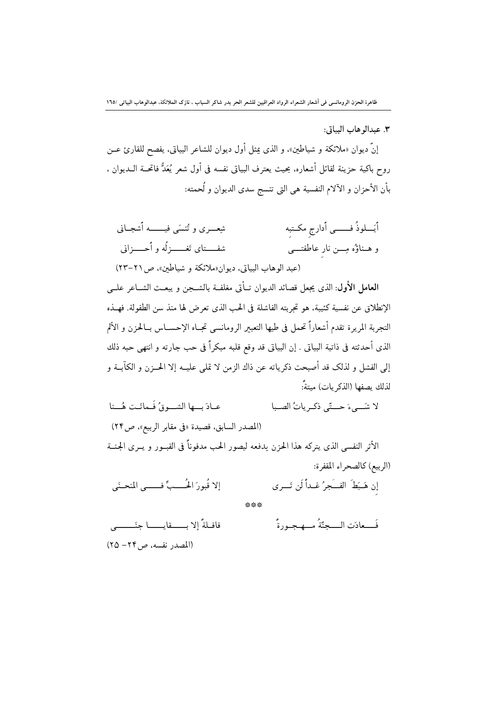٣. عبداله هاب الساتي:

إنَّ ديوان «ملائكة و شياطين»، و الذي يمثل أول ديوان للشاعر البياتي، يفصح للقارئ عــن روح باكية حزينة لقائل أشعاره، بحيث يعترف البياتي نفسه في أول شعر يُعَدُّ فاتحــة الــديوان ، بأن الأحزان و الآلام النفسية هي التي تنسج سدى الديوان و لُحمته:

أَيَــــلوذُ فــــــــى أدارج مكــتبه شعــــري و تُنسَى فيــــــــه أشجــاني شفســـتای تَغــــــزگُه و اُحــــزانی و هــناؤُه مِـــن نار عاطفتــــي (عبد الوهاب البياتي، ديوان «ملائكة و شياطين»، ص٢١-٢٣)

العامل الأول: الذي يجعل قصائد الديوان تــأتي مغلفــة بالشــجن و يبعــث الشــاعر علــي الإنطلاق عن نفسية كئيبة، هو تحربته الفاشلة في الحب الذي تعرض لها منذ سن الطفولة. فهــذه التجربة المريرة تقدم أشعاراً تحمل في طيها التعبير الرومانسي تجــاه الإحســاس بــالحزن و الألم الذي أحدثته في ذاتية البياتي . إن البياتي قد وقع قلبه مبكراً في حب جارته و انتهى حبه ذلك إلى الفشل و لذلك قد أصبحت ذكرياته عن ذاك الزمن لا تملي عليــه إلا الحــزن و الكآبــة و لذلك يصفها (الذكر يات) ميتةً:

عبادَ بِ عا الشَّيوقُ فَيماتَتِ هُـِينا لا شَبِيءَ حِيسِّي ذِكْبِرِياتُ الصِّبا (المصدر السابق، قصيدة «في مقابر الربيع»، ص٢۴) الأثر النفسي الذي يتركه هذا الحزن يدفعه ليصور الحب مدفوناً في القبــور و يــرى الجـنــة (الربيع) كالصحر اء المقفرة: إلا قُبورَ الْحُـــبِّ فــــبِي المنحـنَى إن هَـبَطَ الفــَجرُ غـداً لَن تَـــرى 器器器

قافـلةً إلا بـــــقايــــــا جنَــــــــى فَ عادَتِ الْمُسْمَنَّةُ مِسْمَعِيهِ دِهِّ (المصدر نفسه، ص ۲۴ – ۲۵)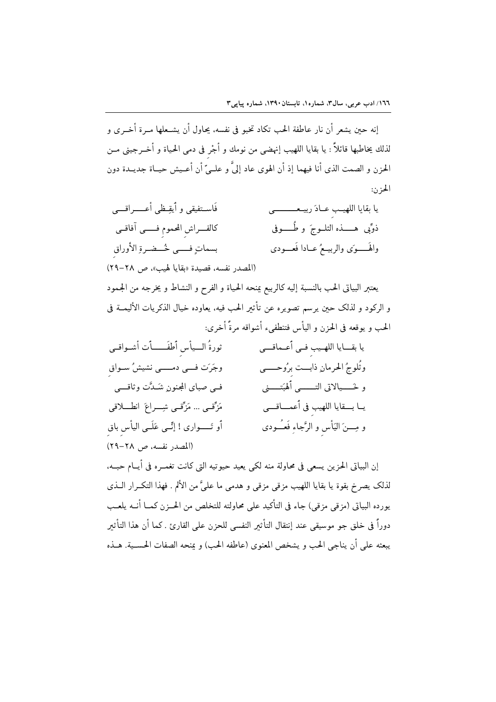إنه حين يشعر أن نار عاطفة الحب تكاد تخبو في نفسه، يحاول أن يشـعلها مـرة أخـرى و لذلك يخاطبها قائلاً : يا بقايا اللهيب إنهضي من نومك و أجْر في دمي الحياة و أخــرجيني مــن الحزن و الصمت الذي أنا فيهما إذ أن الهوى عاد إلىَّ و علــيّ أن أعــيش حيــاة جديــدة دون الجزن:

فَاســتفيقى و أَيقِـظى أعــــــراقــــى يا بقايا اللهيب عـادَ ربيـعــــــــى كالفـــراش المحموم فـــــى آفاقــى ذوٌّبی ہـــــــذه الثلـــوجَ و طُــــــوفی بسماتٍ فـــي خُــضـرةِ الأوراق والهَــــوَى والربيــعُ عــادا فَعـــودي (المصدر نفسه، قصيدة «بقايا لهيب»، ص ٢٨-٢٩)

يعتبر البياتى الحب بالنسبة إليه كالربيع يمنحه الحياة و الفرح و النشاط و يخرجه من الجمود و الركود و لذلك حين يرسم تصويره عن تأثير الحب فيه، يعاوده خيال الذكريات الأليمــة في الحب و يوقعه في الحزن و اليأس فتنطفىء أشواقه مرةً أخرى:

ثورةُ السيأس أُطفَــــأت أشـواقـي يا بقـــايا اللهــيب فــي أعــماقـــي وجَرَت فـــي دمـــــي نشيشُ ســواق وثُلوجُ الحرمانِ ذابــت برُوحــــي فـي صباي المجنون شَـدَّت وثاقـــي و خَــــيالاتي التـــــــي ٱلهبَتــــــني يــا بـــقايا اللهيب في أعمــــاقــــي مَرَّقبي … مَرَّقبي شِــراعَ انطـــلاقبي أو تَـــــواري ! إنِّــي عَلَــي اليأس باق و مِــــنَ اليَأْس و الرَّجاءِ فَعــُــودى (المصدر نفسه، ص ٢٨-٢٩)

إن البياتي الحزين يسعى في محاولة منه لكي يعيد حيوتيه التي كانت تغمــره في أيــام حبــه. لذلك يصرخ بقوة يا بقايا اللهيب مزقى مزقى و هدمى ما علىَّ من الألم . فهذا التكــرار الــذى يورده البياتي (مزقى مزقى) جاء في التأكيد على محاولته للتخلص من الحــزن كمــا أنــه يلعــب دوراً في خلق جو موسيقى عند إنتقال التأثير النفسي للحزن على القارئ . كما أن هذا التأثير يبعثه على أن يناجي الحب و يشخص المعنوي (عاطفه الحب) و يمنحه الصفات الحســية. هــذه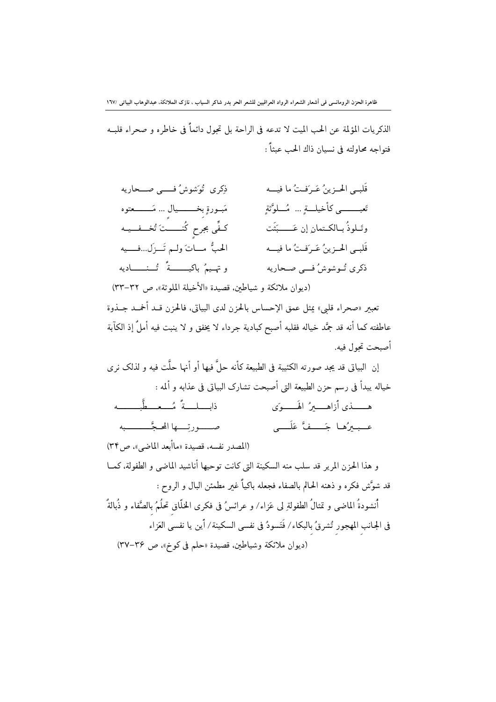ظاهرة الحزن الرومانسى فى أشعار الشعراء الرواد العراقيين للشعر الحر بدر شاكر السياب ، نازك الملائكة، عبدالوهاب البياتى /١٦٧

الذكريات المؤلمة عن الحب الميت لا تدعه في الراحة بل تحول دائماً في خاطره و صحراء قلبـه فتواجه محاولته في نسيان ذاك الحب عبثاً :

| ذِكرى گُوَشوشُ فـــــى صـــحاريه              | قَلبـي الحـزينُ عَـرَفـتُ ما فيـــه       |
|-----------------------------------------------|-------------------------------------------|
| مَبــورةٍ بِخـــــــــيال … مَـــــــــــعتوه | تَعبـــــــى كأخيلـــةٍ   مُـــلوَّثةٍ    |
| كفًى بجرحٍ كُنسستَ تُخسف يمه                  | وتَــلوذُ بــالكــتمانِ إن عَـــــــبَثَت |
| الحبُّ مــاتَ ولـم تَــزَل…فـــيه             | قَلبـي الحـزينُ عَـرَفـتُ ما فيـــه       |
| وتهـيمُ باكيـــــــةً تُـــنــــــاديه        | ذكري تُـوشوشُ فـــي صـحاريه               |

(ديوان ملائكة و شياطين، قصيدة «الأخيلة الملوثة»، ص ٣٢-٣٣)

تعبير «صحراء قلبي» بمثل عمق الإحساس بالحزن لدى البياتي، فالحزن قــد أخمــد جــذوة عاطفته كما أنه قد جمَّد خياله فقلبه أصبح كبادية جرداء لا يخفق و لا ينبت فيه أملٌ إذ الكآبة أصبحت تحول فيه.

إن البياتي قد يجد صورته الكئيبة في الطبيعة كأنه حلَّ فيها أو أنها حلَّت فيه و لذلك نـ ي خياله يبدأ في رسم حزن الطبيعة التي أصبحت تشارك البياتي في عذابه و ألمه :

| ذابـــلـــةً مُـــعــطّبـــــــه      |                          |
|---------------------------------------|--------------------------|
| صـــــورتِــــها المحـجَّــــــــــبه | عـبيرُها جَــفَّ عَلَــى |
|                                       |                          |

(المصدر نفسه، قصيدة «ماأبعد الماضي»، ص٣۴) و هذا الحزن المرير قد سلب منه السكينة التي كانت توحيها أناشيد الماضي و الطفولة، كمــا قد شوَّش فكره و ذهنه الحالم بالصفاء فجعله باكياً غير مطمئن البال و الروح : أنشودةُ الماضي و تمثالُ الطفولةِ لي عَزاء/ و عرائسُ في فكرى الخلَّاق تحلُمُ بالصَّفاء و ذُبالةٌ في الجانب المهجور تُشرقُ بالبكاء/ فَتَسودُ في نفسي السكينة/ أَين يا نفسي العَزاء (ديوان ملائكة وشياطين، قصيدة «حلم في كوخ»، ص ٣٤-٣٧)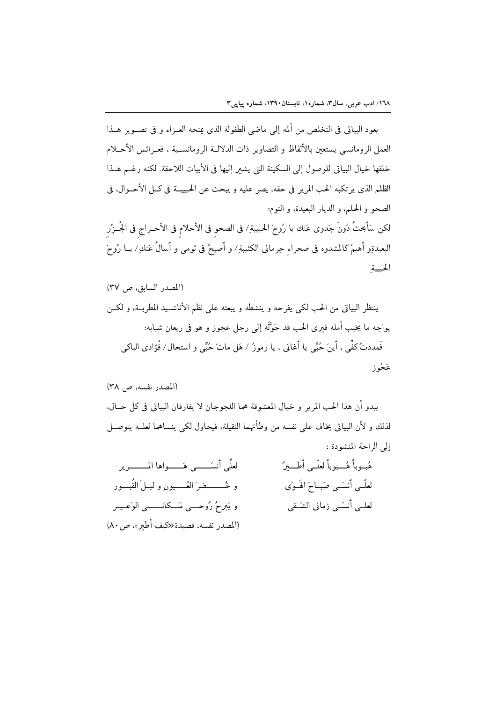يعود البياتي في التخلص من ألمه إلى ماضي الطفولة الذي يمنحه العـزاء و في تصـوير هــذا العمل الرومانسي يستعين بالألفاظ و التصاوير ذات الدلالــة الرومانســية ، فعــرائس الأحــلام خلقها خيال البياتي للوصول إلى السكينة التي يشير إليها في الأبيات اللاحقة. لكنه رغـم هـذا الظلم الذي يرتكبه الحب المرير في حقه، يصر عليه و يبحث عن الحبيبــة في كــل الأحــوال. في الصحو و الحلم، و الديار البعيدة، و النوم: لكن سَأَبحثُ دُونَ جَدوى عَنك يا رُوحَ الحبيبةِ/ في الصحوِ في الأحلامِ في الأحــراجِ في الجُــزُرِ البعيدةِو أهيمُ كالمشدوه في صحراءِ حِرماني الكئيبةِ/ و أصيحُ في نَومي و أسالُ عَنكِ/ يــا رُوحَ الحبيبة

|                                                | هَبُوبًا هَـــبوبًا لعَلــي اطــــيزَ |
|------------------------------------------------|---------------------------------------|
| و څـــــــضرَ العُـــــيون و ليــلَ القُبـــور | لعلّمي أنسَمي صَباحَ الهَـوَى         |
| و يَبرحُ رُوحـــي مَـــكانــــــي الوَعـيـر    | لعلــي أنسَــي زماني الشَـقي          |
| (المصدر نفسه، قصيدة«كيف أطير»، ص ٨٠)           |                                       |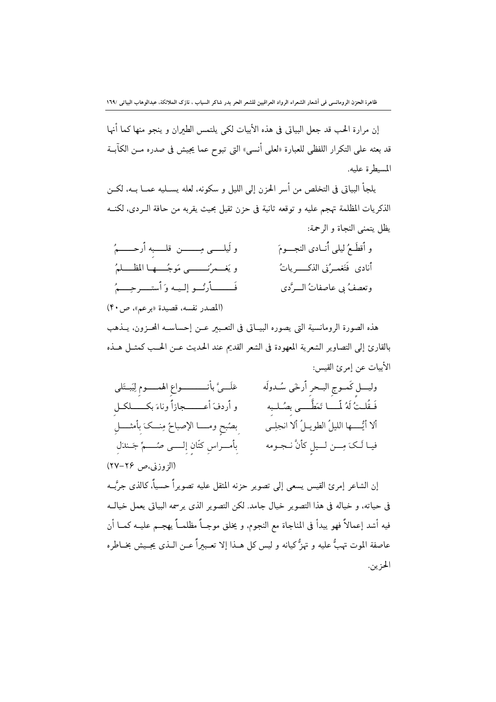إن مرارة الحب قد جعل البياتي في هذه الأبيات لكي يلتمس الطيران و ينجو منها كما أنها قد بعثه على التكرار اللفظي للعبارة «لعلى أنسى» التي تبوح عما يجيش في صدره مــن الكآبــة المسيطرة عليه.

يلجأ البياتي في التخلص من أسر الحزن إلى الليل و سكونه، لعله يســليه عمــا بــه، لكــن الذكريات المظلمة تهجم عليه و توقعه ثانية في حزن ثقيل بحيث يقربه من حافة الـردى، لكنــه يظل يتمنى النجاة و الرحمة:

| و لَيلــــــى مِــــــــــن قلــــــبه أرحـــــــمُ | و أقطَعُ ليلي أنــادي النجــــومَ |
|-----------------------------------------------------|-----------------------------------|
| ويَغْسِرُنَــــــي مَوجُـــها المظـــلمُ            | أنادى فَتَغمـرُني الذكـــــرياتُ  |
| فَــــــأرنُــو إلـيـه وَأستــــرحِــــمُ           | وتعصفُ بي عاصفاتُ الــرَّدي       |
| (المصدر نفسه، قصيدة «برعم»، ص ۴۰)                   |                                   |

هذه الصورة الرومانسية التي يصوره البيـاتي في التعـبير عـن إحساسـه المحـزون، يــذهب بالقارئ إلى التصاوير الشعرية المعهودة في الشعر القديم عند الحديث عــن الحــب كمثــل هــذه الأبيات عن إمرئ القيس:

| عَلَـــيَّ بأنــــــــــــواعِ الهمـــــومِ لِيَبــتَلمى | وليسل كَمــوج البــحرِ أرخَى سُــدولَه       |
|----------------------------------------------------------|----------------------------------------------|
| و أردفَ أعـــــــجازاً وناءَ بكـــــــلكــل              | فَـقُلـتُ لَهُ لَّـــا تَمَطَّـــى بصُـلـبه  |
| بصُبحِ ومــــا الإصباحُ مِنـــكَ بِأَمثــــلِ            | ألا أيُّــــها الليلُ الطويــلُ ألا انجلِــى |
| بِأَمـــراسِ كتّانِ إِلـــــى صُـــــمٍّ جَــندَلِ       | فيـا لَـكَ مِـــن لـــيلِ كأنَّ نــجــومه    |
| (الزوزني،ص ۲۶–۲۷)                                        |                                              |

إن الشاعر إمرئ القيس يسعى إلى تصوير حزنه المثقل عليه تصويراً حسياً، كالذي جرَّبــه في حياته، و خياله في هذا التصوير خيال جامد. لكن التصوير الذي يرسمه البياتي يعمل خيالـه فيه أشد إعمالاً فهو يبدأ في المناجاة مع النجوم، و يخلق موجــاً مظلمــاً يهجــم عليــه كمــا أن عاصفة الموت تهبُّ عليه و تهزُّ كيانه و ليس كل هــذا إلا تعــبيراً عــن الــذي يجــيش بخــاطره الحزين.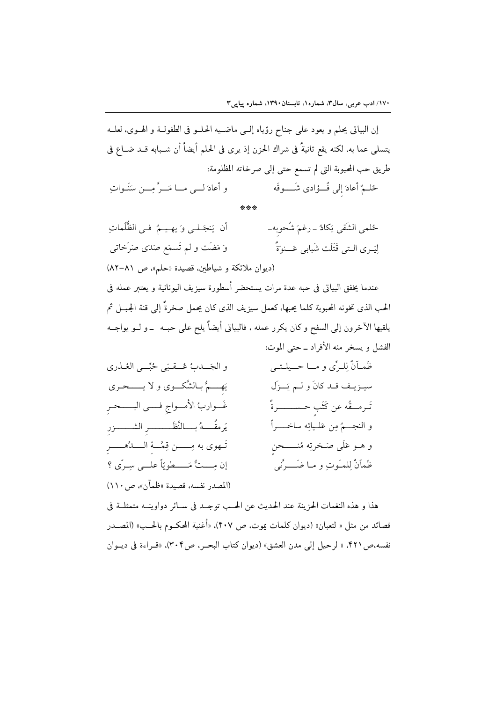إن البياتي يحلم و يعود على جناح رؤياه إلـى ماضـيه الحلــو في الطفولــة و الهــوى، لعلــه يتسلى عما به، لكنه يقع ثانيةً في شراك الحزن إذ يرى في الحلم أيضاً أن شـبابه قـد ضــاع في طريق حب المحبوبة التي لم تسمع حتى إلى صرخاته المظلومة: و أعادَ لــي مــا مَــرَّ مــن منَنَـوات حُلَّمٌ أعادَ إلى فُــؤادي شَـــوقَه

\*\*\*

لِيَــرِي الــتِي قَتَلَت شَبَابِي عَـــنوَةً ۚ `` `` وَ مَضَت و لم تَسمَع صَدَى صَرَخاتِي (ديوان ملائكة و شياطين. قصيدة «حلم»، ص ٨١-٨٢)

عندما يخفق البياتي في حبه عدة مرات يستحضر أسطورة سيزيف اليونانية و يعتبر عمله في الحب الذي تخونه المحبوبة كلما يجبها، كعمل سيزيف الذي كان يجمل صخرةً إلى قنة الجبــل ثم يلقيها الآخرون إلى السفح و كان يكرر عمله ، فالبياتي أيضاً يلح على حبــه ــ و لــو يواجــه الفشل و يسخر منه الأفراد ــ حتى الموت:

ظَمـاَنٌ لِلـرِّي و مــا حــيلـتـي و الجَــدبُ عُــقبَى حُبِّــى العُـذرى يَهِ مُ بالشَّكوي و لا يـــــحـرى سيــزيــف قــد كانَ و لــم يَـــزَل غَــواربُ الأمــواج فـــي البــــحـر تَـرمــقُه عن كَتَب حـســــــرةً يَرمقُــــهُ بــــالنَّظَــــــــــــر الشـــــــــزر و النجــــمُ مِن عَلــيائِه ساخــــــراً تَـهوى به مِـــــن قِمَّــهُ الــــدَّهــــــر و هــو عَلَى صَــخرتِه مُنــــــحن إن مستٌّ مَسطويّاً علي سيرَى ؟ ظَمَأَنٌّ لِلمـَوتِ و مـا ضَــــرَّني (المصدر نفسه، قصيدة «ظمآن»، ص١١٠)

هذا و هذه النغمات الحزينة عند الحديث عن الحب توجـد في سـائر دواوينــه متمثلــة في قصائد من مثل « لثعبان» (ديوان كلمات يموت، ص ۴۰۷). «أغنية المحكـوم بالحــب» (المصــدر نفسه،ص۴۲۱. « لرحيل إلى مدن العشق» (ديوان كتاب البحـر، ص٣٠۴). «قـراءة في ديــوان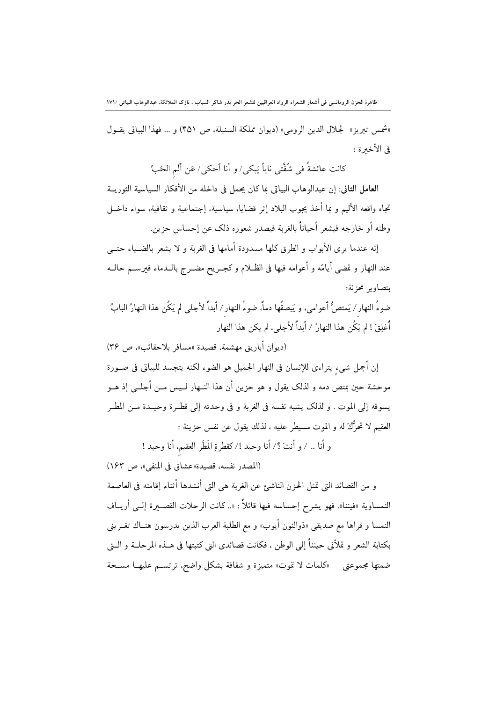«شمس تبريز» لجلال الدين الرومي» (ديوان مملكة السنبلة، ص ۴۵۱) و ... فهذا البياتي يقـول في الأخبرة :

كانت عائشةُ في شُقَّتي ناياً يَبكي/ و أنا أحكي/ عَن ألَم الحُبِّ

العامل الثاني: إن عبدالوهاب البياتي بما كان يحمل في داخله من الأفكار السياسية الثوريــة تجاه واقعه الأليم و بما أخذ يجوب البلاد إثر قضايا، سياسية، إجتماعية و ثقافية، سواء داخــل وطنه أو خارجه فيشعر أحياناً بالغربة فيصدر شعوره ذلك عن إحساس حزين.

إنه عندما يرى الأبواب و الطرق كلها مسدودة أمامها في الغربة و لا يشعر بالضـياء حتــي عند النهار و تمضي أيامّه و أعوامه فيها في الظـلام و كجـريح مضــرج بالــدماء فيرســم حالــه يتصاوير محزنة:

ضوءُ النهار / يَمتصُّ أعوامي، و يَبصقُها دماً، ضوءُ النهار / أبداً لأجلى لم يَكُن هذا النهارُ البابُ أُغلِقَ ! لم يَكُن هذا النهارُ / أبداً لأجلي، لم يكن هذا النهار

(ديوان أباريق مهشمة، قصيدة «مسافر بلاحقائب»، ص ٣۶) إن أجمل شيء يتراءى للإنسان في النهار الجميل هو الضوء لكنه يتجسد للبياتي في صـورة موحشة حين يمتص دمه و لذلك يقول و هو حزين أن هذا النــهار لــيس مــن أجلــي إذ هــو يسوقه إلى الموت . و لذلك يشبه نفسه في الغربة و في وحدته إلى قطـرة وحيــدة مــن المطــر العقيم لا تحرُّكَ له و الموت مسيطر عليه ، لذلك يقول عن نفس حزينة :

و أنا .. / و أنتَ ؟/ أنا وحيد !/كقطرةِ المَطَر العقيم، أنا وحيد !

(المصدر نفسه، قصيدة «عشاق في المنفي»، ص ١۶٣)

و من القصائد التي تمثل الحزن الناشئ عن الغربة هي التي أنشدها أثناء إقامته في العاصمة النمساوية «فيننا». فهو يشرح إحساسه فيها قائلاً : «.. كانت الرحلات القصـــــرة إلـــي أريـــاف النمسا و قراها مع صديقى «ذوالنون أيوب» و مع الطلبة العرب الذين يدرسون هنــاك تغــريني بكتابة الشعر و تملأني حينناً إلى الوطن ، فكانت قصائدي التي كتبتها في هــذه المرحلــة و الــتي ضمتها مجموعتي «كلمات لا تموت» متميزة و شفافة بشكل واضح، ترتسـم عليهـا مسـحة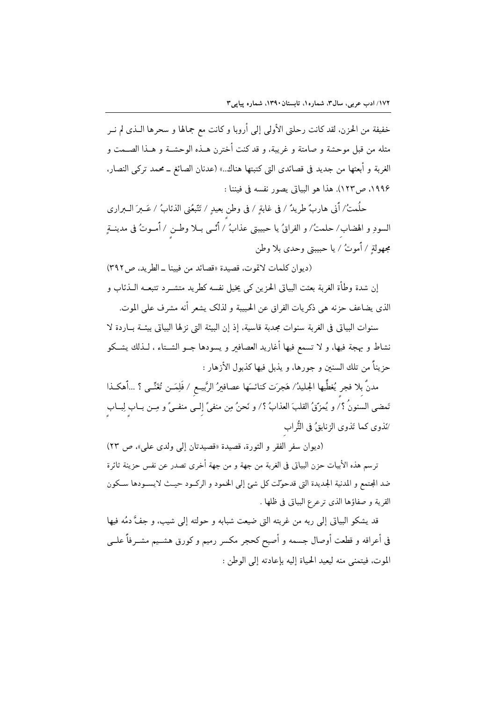خفيفة من الحزن، لقد كانت رحلتي الأولى إلى أروبا و كانت مع جمالها و سحرها الــذي لم نــر مثله من قبل موحشة و صامتة و غريبة، و قد كنت أخترن هــذه الوحشــة و هــذا الصــمت و الغربة و أبعثها من جديد في قصائدي التي كتبتها هناك..» (عدنان الصائغ ــ محمد تركي النصار. ١٩٩۶، ص١٢٣). هذا هو البياتي يصور نفسه في فيننا :

حلُمتُ/ أني هاربٌ طريدٌ / في غابةٍ / في وطن بعيدٍ / تَتَّبعُني الذئابُ / عَــبرَ الــبراري السودِ و الهضاب/ حلمتُ/ و الفراقُ يا حبيبتي عذابُ / أُنْسى بــلا وطــن / أُمــوتُ في مدينــةٍ مجهولة / أموتُ / يا حبيبتي وحدى بلا وطن

(ديوان كلمات لاتموت، قصيدة «قصائد من فيينا \_ الطريد، ص٣٩٢) إن شدة وطأة الغربة بعثت البياتي الحزين كي يخيل نفسه كطريد متشــر د تتبعــه الــذئاب و الذي يضاعف حزنه هي ذكريات الفراق عن الحبيبة و لذلك يشعر أنه مشرف على الموت.

سنوات البياتي في الغربة سنوات مجدبة قاسية، إذ إن البيئة التي نزلها البياتي بيئــة بــاردة لا نشاط و بهجة فيها، و لا تسمع فيها أغاريد العصافىر و يسودها جــو الشــتاء ، لــذلك يشــكو حزيناً من تلك السنين و جورها، و يذبل فيها كذبول الأزهار :

مدنٌ بلا فجر يُغطِّيها الجليدُ/ هَجرَت كنائسَها عصافيرُ الرَّبيــع / فَلِمَــن تُغَنِّــى ؟ …أهكــذا تَمضى السنونُ ؟/ و يُمزّقُ القلبَ العذابُ ؟/ و نَحنُ مِن منفيٍّ إلــي منفــيٍّ و مِــن بــاب لِبــاب /نَذوى كما تَذوى الزنابقُ في التُّراب

(ديوان سفر الفقر و الثورة، قصيدة «قصيدتان إلى ولدى على»، ص ٢٣) ترسم هذه الأبيات حزن البياتي في الغربة من جهة و من جهة أخرى تصدر عن نفس حزينة ثائرة ضد المجتمع و المدنية الجديدة التي قدحوّلت كل شئ إلى الخمود و الركـود حيـث لايسـودها سـكون القرية و صفاؤها الذي ترعرع البياتي في ظلها .

قد يشكو البياتي إلى ربه من غربته التي ضيعت شبابه و حولته إلى شيب، و جفَّ دمُه فيها في أعراقه و قطعت أوصال جسمه و أصبح كحجر مكسر رميم و كورق هشــيم مشــرفاً علــي الموت، فيتمنى منه ليعيد الحياة إليه بإعادته إلى الوطن :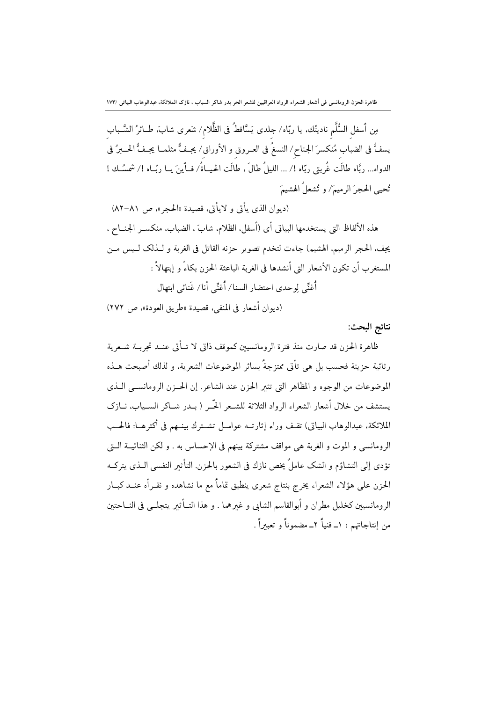مِن أسفل السُّلَّم ناديتُك، يا ربّاه/ جلدى يَسَّاقطُ في الظَّلام/ شَعرى شابَ، طــائرُ الشَّــباب يسفُّ في الضباب مُنكسرَ الجناح/ النسغُ في العـروق و الأوراق/ يجـفُّ مثلمــا يجـفُّ الحــبرُ في الدواه... ربَّاه طالَت غُربتي ربّاه !/ ... الليلُ طالَ ، طالَت الحيـاةُ/ فــأينَ يــا ربّـاه !/ شمسُـك ! تُحبه الجحرَ الرميعَ/ و تُشعلُ الهشيعَ

(ديوان الذي يأتي و لايأتي، قصيدة «الحجر»، ص ٨١–٨٢) هذه الألفاظ التي يستخدمها البياتي أي (أسفل، الظلام، شابَ ، الضباب، منكسـر الجنــاح ، يجف، الحجر الرميم، الهشيم) جاءت لتخدم تصوير حزنه القاتل في الغربة و لــذلك لــيس مــن المستغرب أن تكون الأشعار التي أنشدها في الغربة الباعثة الحزن بكاءً و إبتهالاً : أُغنِّي لوحدي احتضار السنا/ أُغنِّي أنا/ غَنائي ابتهال

(ديوان أشعار في المنفي، قصيدة «طريق العودة»، ص ٢٧٢)

نتائج البحث:

ظاهرة الحزن قد صارت منذ فترة الرومانسيين كموقف ذاتي لا تــأتي عنــد تجربــة شــعرية رثائية حزينة فحسب بل هي تأتي ممتزجةً بسائر الموضوعات الشعرية، و لذلك أصبحت هــذه الموضوعات من الوجوه و المظاهر التي تثير الحزن عند الشاعر. إن الحــزن الرومانســي الــذي يستشف من خلال أشعار الشعراء الرواد الثلاثة للشـعر الحّـر ( بــدر شــاكر الســياب، نــازک الملائكة، عبدالوهاب البياتي) تقـف وراء إثارتـه عوامــل تشــترك بينــهم في أكثرهــا: فالحــب الرومانسي و الموت و الغربة هي مواقف مشتركة بينهم في الإحساس به . و لكن الثنائيــة الــق تؤدي إلى التشاؤم و الشك عاملٌ يخص نازك في الشعور بالحزن. التأثير النفسي الــذي يتركــه الحزن على هؤلاء الشعراء يخرج بنتاج شعرى ينطبق تماماً مع ما نشاهده و نقــرأه عنــد كبــار الرومانسيين كخليل مطران و أبوالقاسم الشابي و غيرهما . و هذا التــأثير يتجلــي في النــاحتين من إنتاجاتهم : ١\_ فنياً ٢\_ مضموناً و تعبيراً .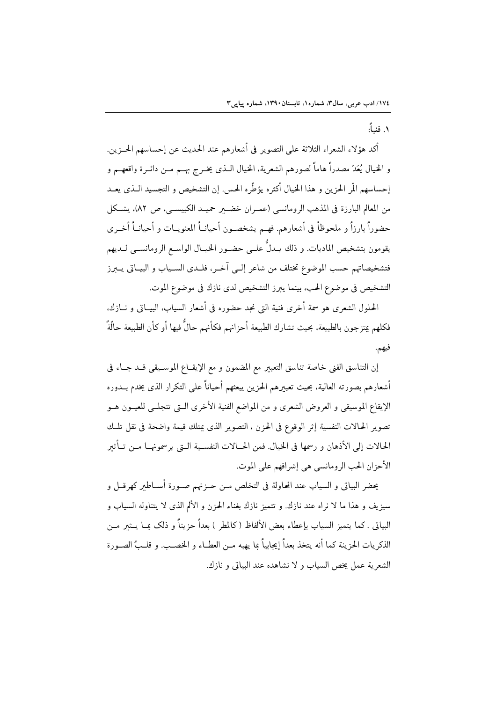١. فنياً:

أكد هؤلاء الشعراء الثلاثة على التصوير في أشعارهم عند الحديث عن إحساسهم الحــزين. و الخيال يُعَدّ مصدراً هاماً لصورهم الشعرية، الخيال الـذي يخـرج بهــم مــن دائــرة واقعهــم و إحساسهم الَّمر الحزين و هذا الخيال أكثره يؤطِّره الحس. إن التشخيص و التجسيد الـذي يعــد من المعالم البارزة في المذهب الرومانسي (عمـران خضـــــر حميـــد الكبيســـي، ص ٨٢)، يشــكل حضوراً بارزاً و ملحوظاً في أشعارهم. فهـم يشخصـون أحيانــاً المعنويــات و أحيانــاً أخــري يقومون بتشخيص الماديات. و ذلك يــدلٌ علــي حضــور الخيــال الواســع الرومانســي لــديهم فتشخيصاتهم حسب الموضوع تختلف من شاعر إلـى آخـر، فلـدى السـياب و البيــاتي يــبرز التشخيص في موضوع الحب، بينما يبرز التشخيص لدى نازك في موضوع الموت.

الحلول الشعري هو سمة أخرى فنية التي نجد حضوره في أشعار السياب، البيــاتي و نــازك، فكلهم يمتزجون بالطبيعة، بحيث تشارك الطبيعة أحزانهم فكأنهم حالٌ فيها أو كأن الطبيعة حالَّةٌ فيهم.

إن التناسق الفني خاصة تناسق التعبير مع المضمون و مع الإيقـاع الموسـيقى قـد جـاء في أشعارهم بصورته العالية، بحيث تعبيرهم الحزين يبعثهم أحياناً على التكرار الذى يخدم بــدوره الإيقاع الموسيقى و العروض الشعرى و من المواضع الفنية الأخرى الـتى تتجلــي للعيــون هــو تصوير الحالات النفسية إثر الوقوع في الحزن ، التصوير الذي يمتلك قيمة واضحة في نقل تلـك الحالات إلى الأذهان و رسمها في الخيال. فمن الحــالات النفســية الــتي يرسمونهــا مــن تــأثير الأحزان الحب الرومانسي هي إشرافهم على الموت.

يحضر البياتي و السياب عند المحاولة في التخلص مــن حــزنهم صــورة أســاطعر كهرقــل و سيزيف و هذا ما لا نراه عند نازك. و تتميز نازك بغناء الحزن و الألم الذي لا يتناوله السياب و البياتي . كما يتميز السياب بإعطاء بعض الألفاظ (كالمطر ) بعداً حزيناً و ذلك ممــا يـــثىر مــن الذكر يات الحزينة كما أنه يتخذ بعداً إيجابياً ما يهبه مــن العطــاء و الخصـب. و قلــبُ الصــورة الشعرية عمل يخص السياب و لا نشاهده عند البياتي و نازك.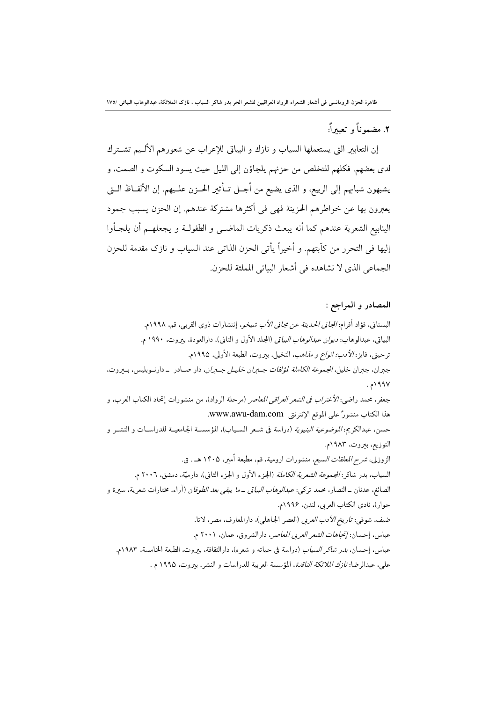٢. مضمه ناً و\_تعبير أَ:

إن التعابير التي يستعملها السياب و نازك و البياتي للإعراب عن شعورهم الألـيم تشــترك لدى بعضهم. فكلهم للتخلص من حزنهم يلجاؤن إلى الليل حيث يسود السكوت و الصمت، و يشبهون شبابهم إلى الربيع، و الذي يضيع من أجــل تــأثير الحــزن علــيهم. إن الألفــاظ الــتي يعبرون بها عن خواطرهم الحزينة فهي في أكثرها مشتركة عندهم. إن الحزن يسبب جمود الينابيع الشعرية عندهم كما أنه يبعث ذكريات الماضـي و الطفولــة و يجعلهــم أن يلجــأوا إليها في التحرر من كآبتهم. و أخيراً يأتي الحزن الذاتي عند السياب و نازك مقدمة للحزن الجماع ِ الذي لا نشاهده في أشعار البياتي المملثة للحزن.

المصادر و المراجع : البستاني، فؤاد أفرام: *المجاني الحديثة عن مجاني الأب شيخو*، إنتشارات ذوى القربي، قم، ١٩٩٨م. البياتي، عبدالوهاب: *ديوان عبدالوهاب البياتي* (المجلد الأول و الثاني)، دارالعودة، بيروت، ١٩٩٠ م. ترحيني، فايز: *الأدب؛ انواع و مذاهب*، النخيل، بيروت، الطبعة الأولى، ١٩٩٥م. جبران، جبران خليل، *المجموعة الكاملة لمؤلفات جـــبران خليـــل جـــبران*، دار صـــادر \_ دارنــوبليس، بـــيروت، ۱۹۹۷م . جعفر، محمد راضي: *الأغتراب في الشعر العراقي المعاصر* (مرحلة الرواد)، من منشورات إتحاد الكتاب العرب، و هذا الكتاب منشورٌ على الموقع الإنترنتي www.awu-dam.com. حسن، عبدالكريم: *الموضوعية البنيوية* (دراسة في شـعر السـياب)، المؤسسـة الجامعيـة للدراســات و النشــر و التوزيع، بيروت، ١٩٨٣م. الزوزني، *شرح المعلقات السبع، م*نشورات ارومية، قم، مطبعة أمير، ١۴٠۵ هـ . ق. السياب، بدر شاكر : *المجموعة الشعرية الكاملة* (الجزء الأول و الجزء الثاني)، دارميّة، دمشق، ٢٠٠٦ م. الصائغ. عدنان \_ النصار، محمد تركي: *عبدالوهاب البياتي \_ما يبقى بعد الطوفان* (آراء، مختارات شعرية، سيرة و حوار)، نادي الكتاب العربي، لندن، ١٩٩۶م. ضيف، شوقي: ت*اريخ الأدب العربي* (العصر الجاهلي)، دارالمعارف، مصر، لاتا. عباس، إحسان: *إنجاهات الشعر العربي المعاصر*، دارالشروق، عمان، ٢٠٠١ م. عباس، إحسان*، بدر شاكر السياب* (دراسة في حياته و شعره). دارالثقافة، بيروت. الطبعة الخامسة، ١٩٨٣م. على، عبدالرضا: *نازك الملائكة الناقدة*، المؤسسة العربية للدراسات و النشر، بيروت، ١٩٩٥ م .